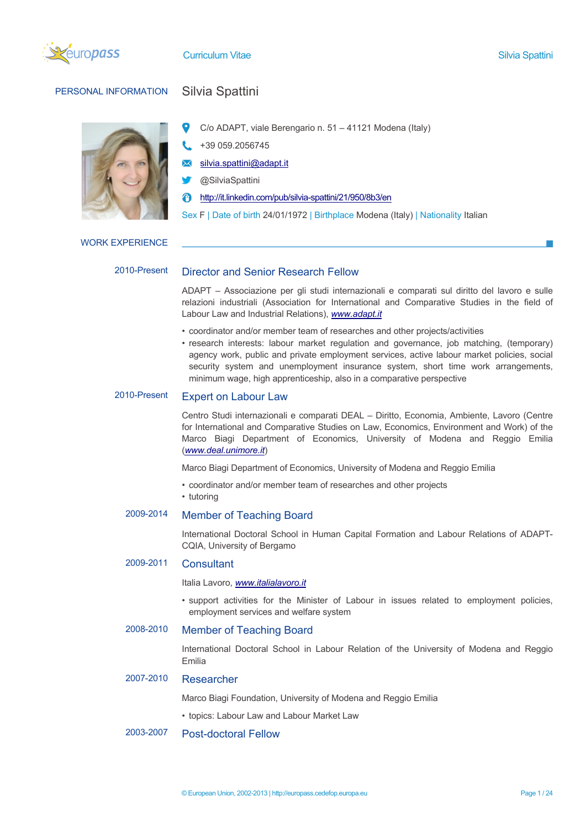

**Curriculum Vitae Silvia Spattini** Silvia Spattini Silvia Spattini Silvia Spattini Silvia Spattini

# PERSONAL INFORMATION Silvia Spattini

- C/o ADAPT, viale Berengario n. 51 41121 Modena (Italy)
- +39 059.2056745
- silvia.spattini@adapt.it
- @SilviaSpattini
- http://it.linkedin.com/pub/silvia-spattini/21/950/8b3/en
- Sex F | Date of birth 24/01/1972 | Birthplace Modena (Italy) | Nationality Italian

## WORK EXPERIENCE

# 2010-Present Director and Senior Research Fellow

ADAPT – Associazione per gli studi internazionali e comparati sul diritto del lavoro e sulle relazioni industriali (Association for International and Comparative Studies in the field of Labour Law and Industrial Relations), *www.adapt.it*

- coordinator and/or member team of researches and other projects/activities
- research interests: labour market regulation and governance, job matching, (temporary) agency work, public and private employment services, active labour market policies, social security system and unemployment insurance system, short time work arrangements, minimum wage, high apprenticeship, also in a comparative perspective

# 2010-Present Expert on Labour Law

Centro Studi internazionali e comparati DEAL – Diritto, Economia, Ambiente, Lavoro (Centre for International and Comparative Studies on Law, Economics, Environment and Work) of the Marco Biagi Department of Economics, University of Modena and Reggio Emilia (*www.deal.unimore.it*)

Marco Biagi Department of Economics, University of Modena and Reggio Emilia

- coordinator and/or member team of researches and other projects
- tutoring

# 2009-2014 Member of Teaching Board

International Doctoral School in Human Capital Formation and Labour Relations of ADAPT-CQIA, University of Bergamo

# 2009-2011 Consultant

Italia Lavoro, *www.italialavoro.it*

• support activities for the Minister of Labour in issues related to employment policies, employment services and welfare system

# 2008-2010 Member of Teaching Board

International Doctoral School in Labour Relation of the University of Modena and Reggio Emilia

# 2007-2010 Researcher

Marco Biagi Foundation, University of Modena and Reggio Emilia

• topics: Labour Law and Labour Market Law

# 2003-2007 Post-doctoral Fellow

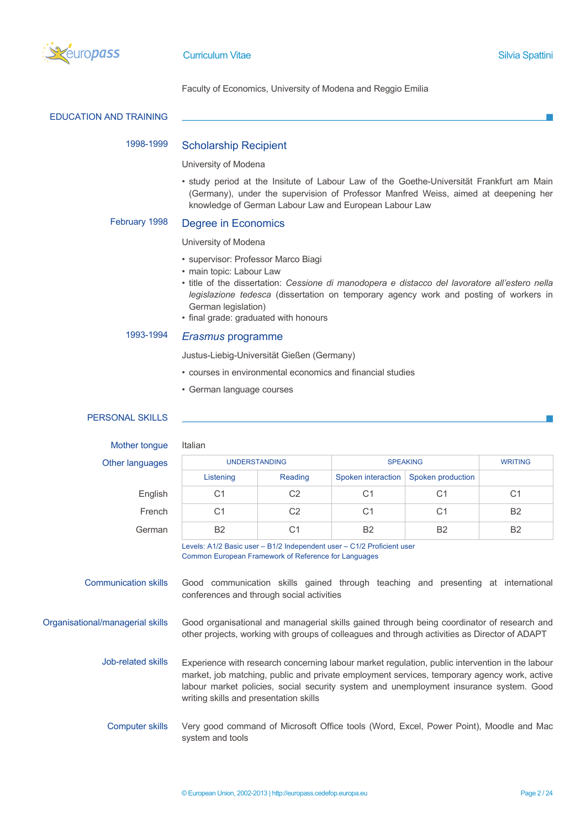

Faculty of Economics, University of Modena and Reggio Emilia

|  | <b>EDUCATION AND TRAINING</b> |
|--|-------------------------------|
|--|-------------------------------|

# 1998-1999 Scholarship Recipient

#### University of Modena

• study period at the Insitute of Labour Law of the Goethe-Universität Frankfurt am Main (Germany), under the supervision of Professor Manfred Weiss, aimed at deepening her knowledge of German Labour Law and European Labour Law

# February 1998 Degree in Economics

### University of Modena

- supervisor: Professor Marco Biagi
- main topic: Labour Law
- title of the dissertation: *Cessione di manodopera e distacco del lavoratore all'estero nella legislazione tedesca* (dissertation on temporary agency work and posting of workers in German legislation)
- final grade: graduated with honours

# 1993-1994 *Erasmus* programme

Justus-Liebig-Universität Gießen (Germany)

- courses in environmental economics and financial studies
- German language courses

# PERSONAL SKILLS

# Mother tongue Italian

#### Other langua

| nguages | <b>UNDERSTANDING</b> |                | <b>SPEAKING</b>    |                   | <b>WRITING</b> |
|---------|----------------------|----------------|--------------------|-------------------|----------------|
|         | Listening            | Reading        | Spoken interaction | Spoken production |                |
| English | C1                   | C2             | C1                 | C1                | C <sub>1</sub> |
| French  | С1                   | C <sub>2</sub> | C1                 | C <sub>1</sub>    | <b>B2</b>      |
| German  | <b>B2</b>            | С1             | <b>B2</b>          | <b>B2</b>         | <b>B2</b>      |

Levels: A1/2 Basic user – B1/2 Independent user – C1/2 Proficient user Common European Framework of Reference for Languages

Communication skills Good communication skills gained through teaching and presenting at international conferences and through social activities

Organisational/managerial skills Good organisational and managerial skills gained through being coordinator of research and other projects, working with groups of colleagues and through activities as Director of ADAPT

> Job-related skills Experience with research concerning labour market regulation, public intervention in the labour market, job matching, public and private employment services, temporary agency work, active labour market policies, social security system and unemployment insurance system. Good writing skills and presentation skills

Computer skills Very good command of Microsoft Office tools (Word, Excel, Power Point), Moodle and Mac system and tools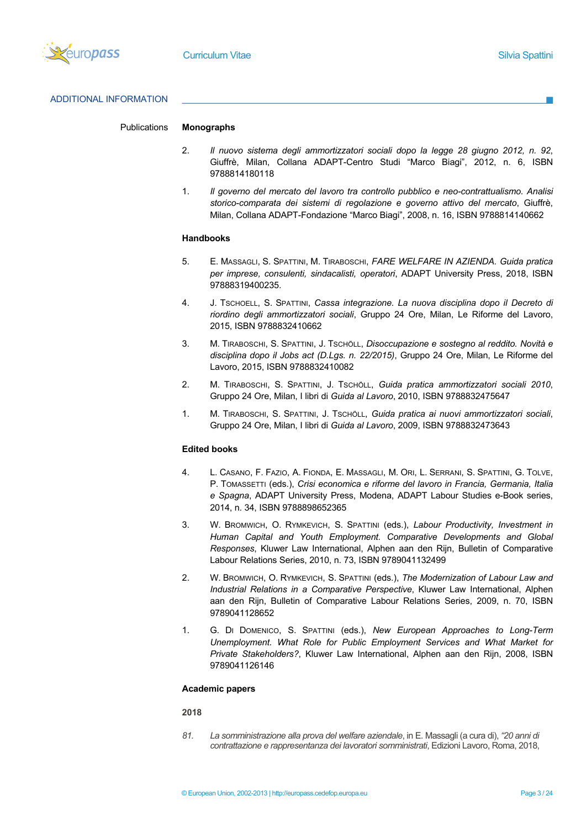

# ADDITIONAL INFORMATION

# Publications **Monographs**

- 2. *Il nuovo sistema degli ammortizzatori sociali dopo la legge 28 giugno 2012, n. 92*, Giuffrè, Milan, Collana ADAPT-Centro Studi "Marco Biagi", 2012, n. 6, ISBN 9788814180118
- 1. *Il governo del mercato del lavoro tra controllo pubblico e neo-contrattualismo. Analisi storico-comparata dei sistemi di regolazione e governo attivo del mercato*, Giuffrè, Milan, Collana ADAPT-Fondazione "Marco Biagi", 2008, n. 16, ISBN 9788814140662

## **Handbooks**

- 5. E. MASSAGLI, S. SPATTINI, M. TIRABOSCHI, *FARE WELFARE IN AZIENDA. Guida pratica per imprese, consulenti, sindacalisti, operatori*, ADAPT University Press, 2018, ISBN 97888319400235.
- 4. J. TSCHOELL, S. SPATTINI, *Cassa integrazione. La nuova disciplina dopo il Decreto di riordino degli ammortizzatori sociali*, Gruppo 24 Ore, Milan, Le Riforme del Lavoro, 2015, ISBN 9788832410662
- 3. M. TIRABOSCHI, S. SPATTINI, J. TSCHÖLL, *Disoccupazione e sostegno al reddito. Novità e disciplina dopo il Jobs act (D.Lgs. n. 22/2015)*, Gruppo 24 Ore, Milan, Le Riforme del Lavoro, 2015, ISBN 9788832410082
- 2. M. TIRABOSCHI, S. SPATTINI, J. TSCHÖLL, *Guida pratica ammortizzatori sociali 2010*, Gruppo 24 Ore, Milan, I libri di *Guida al Lavoro*, 2010, ISBN 9788832475647
- 1. M. TIRABOSCHI, S. SPATTINI, J. TSCHÖLL, *Guida pratica ai nuovi ammortizzatori sociali*, Gruppo 24 Ore, Milan, I libri di *Guida al Lavoro*, 2009, ISBN 9788832473643

# **Edited books**

- 4. L. CASANO, F. FAZIO, A. FIONDA, E. MASSAGLI, M. ORI, L. SERRANI, S. SPATTINI, G. TOLVE, P. TOMASSETTI (eds.), *Crisi economica e riforme del lavoro in Francia, Germania, Italia e Spagna*, ADAPT University Press, Modena, ADAPT Labour Studies e-Book series, 2014, n. 34, ISBN 9788898652365
- 3. W. BROMWICH, O. RYMKEVICH, S. SPATTINI (eds.), *Labour Productivity, Investment in Human Capital and Youth Employment. Comparative Developments and Global Responses*, Kluwer Law International, Alphen aan den Rijn, Bulletin of Comparative Labour Relations Series, 2010, n. 73, ISBN 9789041132499
- 2. W. BROMWICH, O. RYMKEVICH, S. SPATTINI (eds.), *The Modernization of Labour Law and Industrial Relations in a Comparative Perspective*, Kluwer Law International, Alphen aan den Rijn, Bulletin of Comparative Labour Relations Series, 2009, n. 70, ISBN 9789041128652
- 1. G. DI DOMENICO, S. SPATTINI (eds.), *New European Approaches to Long-Term Unemployment. What Role for Public Employment Services and What Market for Private Stakeholders?*, Kluwer Law International, Alphen aan den Rijn, 2008, ISBN 9789041126146

#### **Academic papers**

#### **2018**

*81. La somministrazione alla prova del welfare aziendale*, in E. Massagli (a cura di), *"20 anni di contrattazione e rappresentanza dei lavoratori somministrati*, Edizioni Lavoro, Roma, 2018,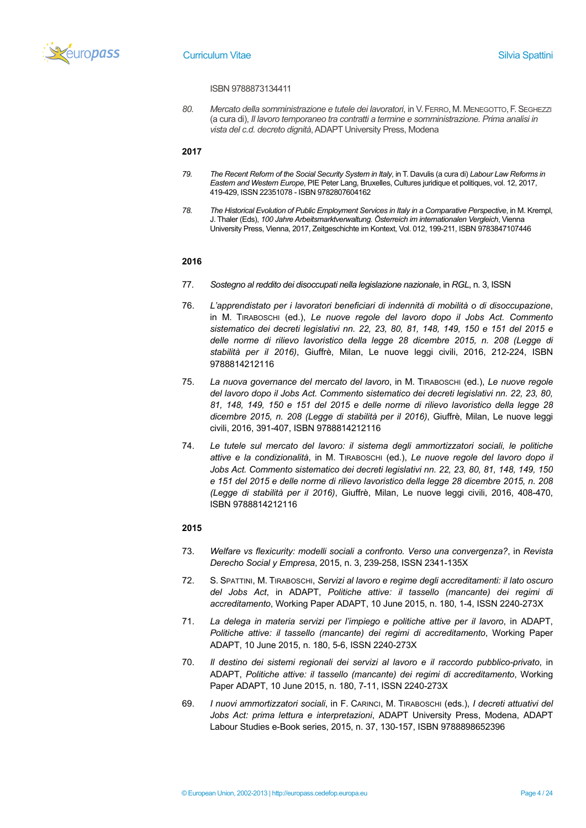

#### ISBN 9788873134411

*80. Mercato della somministrazione e tutele dei lavoratori*, in V.FERRO, M. MENEGOTTO,F.SEGHEZZI (a cura di), *Il lavoro temporaneo tra contratti a termine e somministrazione. Prima analisi in vista del c.d. decreto dignità*, ADAPT University Press, Modena

# **2017**

- *79. The Recent Reform of the Social Security System in Italy*, in T. Davulis (a cura di) *Labour Law Reforms in Eastern and Western Europe*, PIE Peter Lang, Bruxelles, Cultures juridique et politiques, vol. 12, 2017, 419-429, ISSN 22351078 - ISBN 9782807604162
- *78. The Historical Evolution of Public Employment Services in Italy in a Comparative Perspective*, in M. Krempl, J. Thaler (Eds), *100 Jahre Arbeitsmarktverwaltung. Österreich im internationalen Vergleich*, Vienna University Press, Vienna, 2017, Zeitgeschichte im Kontext, Vol. 012, 199-211, ISBN 9783847107446

# **2016**

- 77. *Sostegno al reddito dei disoccupati nella legislazione nazionale*, in *RGL*, n. 3, ISSN
- 76. *L'apprendistato per i lavoratori beneficiari di indennità di mobilità o di disoccupazione*, in M. TIRABOSCHI (ed.), *Le nuove regole del lavoro dopo il Jobs Act. Commento sistematico dei decreti legislativi nn. 22, 23, 80, 81, 148, 149, 150 e 151 del 2015 e delle norme di rilievo lavoristico della legge 28 dicembre 2015, n. 208 (Legge di stabilità per il 2016)*, Giuffrè, Milan, Le nuove leggi civili, 2016, 212-224, ISBN 9788814212116
- 75. *La nuova governance del mercato del lavoro*, in M. TIRABOSCHI (ed.), *Le nuove regole del lavoro dopo il Jobs Act. Commento sistematico dei decreti legislativi nn. 22, 23, 80, 81, 148, 149, 150 e 151 del 2015 e delle norme di rilievo lavoristico della legge 28 dicembre 2015, n. 208 (Legge di stabilità per il 2016)*, Giuffrè, Milan, Le nuove leggi civili, 2016, 391-407, ISBN 9788814212116
- 74. *Le tutele sul mercato del lavoro: il sistema degli ammortizzatori sociali, le politiche attive e la condizionalità*, in M. TIRABOSCHI (ed.), *Le nuove regole del lavoro dopo il Jobs Act. Commento sistematico dei decreti legislativi nn. 22, 23, 80, 81, 148, 149, 150 e 151 del 2015 e delle norme di rilievo lavoristico della legge 28 dicembre 2015, n. 208 (Legge di stabilità per il 2016)*, Giuffrè, Milan, Le nuove leggi civili, 2016, 408-470, ISBN 9788814212116

- 73. *Welfare vs flexicurity: modelli sociali a confronto. Verso una convergenza?*, in *Revista Derecho Social y Empresa*, 2015, n. 3, 239-258, ISSN 2341-135X
- 72. S. SPATTINI, M. TIRABOSCHI, *Servizi al lavoro e regime degli accreditamenti: il lato oscuro del Jobs Act*, in ADAPT, *Politiche attive: il tassello (mancante) dei regimi di accreditamento*, Working Paper ADAPT, 10 June 2015, n. 180, 1-4, ISSN 2240-273X
- 71. *La delega in materia servizi per l'impiego e politiche attive per il lavoro*, in ADAPT, *Politiche attive: il tassello (mancante) dei regimi di accreditamento*, Working Paper ADAPT, 10 June 2015, n. 180, 5-6, ISSN 2240-273X
- 70. *Il destino dei sistemi regionali dei servizi al lavoro e il raccordo pubblico-privato*, in ADAPT, *Politiche attive: il tassello (mancante) dei regimi di accreditamento*, Working Paper ADAPT, 10 June 2015, n. 180, 7-11, ISSN 2240-273X
- 69. *I nuovi ammortizzatori sociali*, in F. CARINCI, M. TIRABOSCHI (eds.), *I decreti attuativi del Jobs Act: prima lettura e interpretazioni*, ADAPT University Press, Modena, ADAPT Labour Studies e-Book series, 2015, n. 37, 130-157, ISBN 9788898652396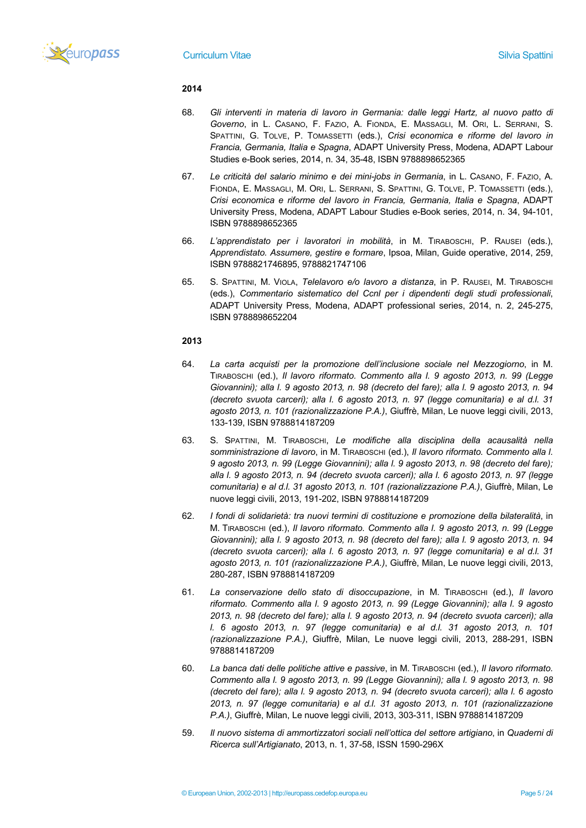

- 68. *Gli interventi in materia di lavoro in Germania: dalle leggi Hartz, al nuovo patto di Governo*, in L. CASANO, F. FAZIO, A. FIONDA, E. MASSAGLI, M. ORI, L. SERRANI, S. SPATTINI, G. TOLVE, P. TOMASSETTI (eds.), *Crisi economica e riforme del lavoro in Francia, Germania, Italia e Spagna*, ADAPT University Press, Modena, ADAPT Labour Studies e-Book series, 2014, n. 34, 35-48, ISBN 9788898652365
- 67. *Le criticità del salario minimo e dei mini-jobs in Germania*, in L. CASANO, F. FAZIO, A. FIONDA, E. MASSAGLI, M. ORI, L. SERRANI, S. SPATTINI, G. TOLVE, P. TOMASSETTI (eds.), *Crisi economica e riforme del lavoro in Francia, Germania, Italia e Spagna*, ADAPT University Press, Modena, ADAPT Labour Studies e-Book series, 2014, n. 34, 94-101, ISBN 9788898652365
- 66. *L'apprendistato per i lavoratori in mobilità*, in M. TIRABOSCHI, P. RAUSEI (eds.), *Apprendistato. Assumere, gestire e formare*, Ipsoa, Milan, Guide operative, 2014, 259, ISBN 9788821746895, 9788821747106
- 65. S. SPATTINI, M. VIOLA, *Telelavoro e/o lavoro a distanza*, in P. RAUSEI, M. TIRABOSCHI (eds.), *Commentario sistematico del Ccnl per i dipendenti degli studi professionali*, ADAPT University Press, Modena, ADAPT professional series, 2014, n. 2, 245-275, ISBN 9788898652204

- 64. *La carta acquisti per la promozione dell'inclusione sociale nel Mezzogiorno*, in M. TIRABOSCHI (ed.), *Il lavoro riformato. Commento alla l. 9 agosto 2013, n. 99 (Legge Giovannini); alla l. 9 agosto 2013, n. 98 (decreto del fare); alla l. 9 agosto 2013, n. 94 (decreto svuota carceri); alla l. 6 agosto 2013, n. 97 (legge comunitaria) e al d.l. 31 agosto 2013, n. 101 (razionalizzazione P.A.)*, Giuffrè, Milan, Le nuove leggi civili, 2013, 133-139, ISBN 9788814187209
- 63. S. SPATTINI, M. TIRABOSCHI, *Le modifiche alla disciplina della acausalità nella somministrazione di lavoro*, in M. TIRABOSCHI (ed.), *Il lavoro riformato. Commento alla l. 9 agosto 2013, n. 99 (Legge Giovannini); alla l. 9 agosto 2013, n. 98 (decreto del fare); alla l. 9 agosto 2013, n. 94 (decreto svuota carceri); alla l. 6 agosto 2013, n. 97 (legge comunitaria) e al d.l. 31 agosto 2013, n. 101 (razionalizzazione P.A.)*, Giuffrè, Milan, Le nuove leggi civili, 2013, 191-202, ISBN 9788814187209
- 62. *I fondi di solidarietà: tra nuovi termini di costituzione e promozione della bilateralità*, in M. TIRABOSCHI (ed.), *Il lavoro riformato. Commento alla l. 9 agosto 2013, n. 99 (Legge Giovannini); alla l. 9 agosto 2013, n. 98 (decreto del fare); alla l. 9 agosto 2013, n. 94 (decreto svuota carceri); alla l. 6 agosto 2013, n. 97 (legge comunitaria) e al d.l. 31 agosto 2013, n. 101 (razionalizzazione P.A.)*, Giuffrè, Milan, Le nuove leggi civili, 2013, 280-287, ISBN 9788814187209
- 61. *La conservazione dello stato di disoccupazione*, in M. TIRABOSCHI (ed.), *Il lavoro riformato. Commento alla l. 9 agosto 2013, n. 99 (Legge Giovannini); alla l. 9 agosto 2013, n. 98 (decreto del fare); alla l. 9 agosto 2013, n. 94 (decreto svuota carceri); alla l. 6 agosto 2013, n. 97 (legge comunitaria) e al d.l. 31 agosto 2013, n. 101 (razionalizzazione P.A.)*, Giuffrè, Milan, Le nuove leggi civili, 2013, 288-291, ISBN 9788814187209
- 60. *La banca dati delle politiche attive e passive*, in M. TIRABOSCHI (ed.), *Il lavoro riformato. Commento alla l. 9 agosto 2013, n. 99 (Legge Giovannini); alla l. 9 agosto 2013, n. 98 (decreto del fare); alla l. 9 agosto 2013, n. 94 (decreto svuota carceri); alla l. 6 agosto 2013, n. 97 (legge comunitaria) e al d.l. 31 agosto 2013, n. 101 (razionalizzazione P.A.)*, Giuffrè, Milan, Le nuove leggi civili, 2013, 303-311, ISBN 9788814187209
- 59. *Il nuovo sistema di ammortizzatori sociali nell'ottica del settore artigiano*, in *Quaderni di Ricerca sull'Artigianato*, 2013, n. 1, 37-58, ISSN 1590-296X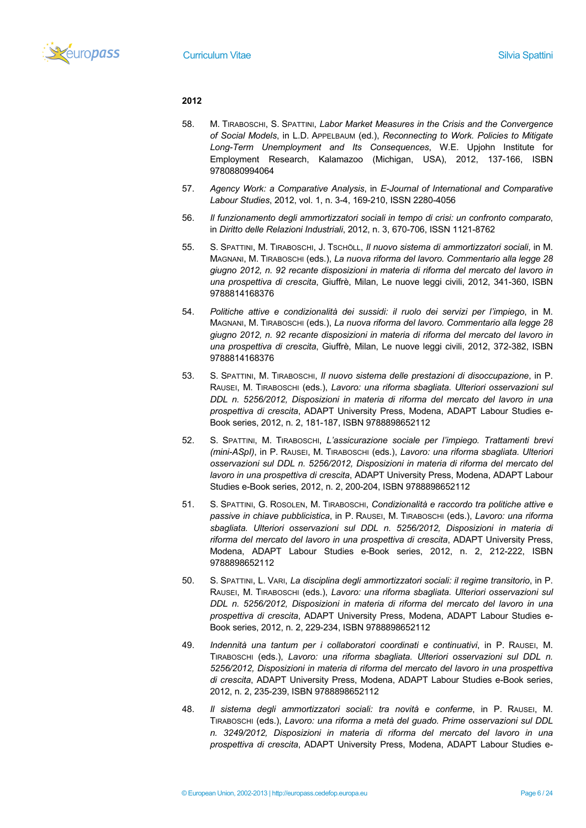

- 58. M. TIRABOSCHI, S. SPATTINI, *Labor Market Measures in the Crisis and the Convergence of Social Models*, in L.D. APPELBAUM (ed.), *Reconnecting to Work. Policies to Mitigate Long-Term Unemployment and Its Consequences*, W.E. Upjohn Institute for Employment Research, Kalamazoo (Michigan, USA), 2012, 137-166, ISBN 9780880994064
- 57. *Agency Work: a Comparative Analysis*, in *E-Journal of International and Comparative Labour Studies*, 2012, vol. 1, n. 3-4, 169-210, ISSN 2280-4056
- 56. *Il funzionamento degli ammortizzatori sociali in tempo di crisi: un confronto comparato*, in *Diritto delle Relazioni Industriali*, 2012, n. 3, 670-706, ISSN 1121-8762
- 55. S. SPATTINI, M. TIRABOSCHI, J. TSCHÖLL, *Il nuovo sistema di ammortizzatori sociali*, in M. MAGNANI, M. TIRABOSCHI (eds.), *La nuova riforma del lavoro. Commentario alla legge 28 giugno 2012, n. 92 recante disposizioni in materia di riforma del mercato del lavoro in una prospettiva di crescita*, Giuffrè, Milan, Le nuove leggi civili, 2012, 341-360, ISBN 9788814168376
- 54. *Politiche attive e condizionalità dei sussidi: il ruolo dei servizi per l'impiego*, in M. MAGNANI, M. TIRABOSCHI (eds.), *La nuova riforma del lavoro. Commentario alla legge 28 giugno 2012, n. 92 recante disposizioni in materia di riforma del mercato del lavoro in una prospettiva di crescita*, Giuffrè, Milan, Le nuove leggi civili, 2012, 372-382, ISBN 9788814168376
- 53. S. SPATTINI, M. TIRABOSCHI, *Il nuovo sistema delle prestazioni di disoccupazione*, in P. RAUSEI, M. TIRABOSCHI (eds.), *Lavoro: una riforma sbagliata. Ulteriori osservazioni sul DDL n. 5256/2012, Disposizioni in materia di riforma del mercato del lavoro in una prospettiva di crescita*, ADAPT University Press, Modena, ADAPT Labour Studies e-Book series, 2012, n. 2, 181-187, ISBN 9788898652112
- 52. S. SPATTINI, M. TIRABOSCHI, *L'assicurazione sociale per l'impiego. Trattamenti brevi (mini-ASpI)*, in P. RAUSEI, M. TIRABOSCHI (eds.), *Lavoro: una riforma sbagliata. Ulteriori osservazioni sul DDL n. 5256/2012, Disposizioni in materia di riforma del mercato del lavoro in una prospettiva di crescita*, ADAPT University Press, Modena, ADAPT Labour Studies e-Book series, 2012, n. 2, 200-204, ISBN 9788898652112
- 51. S. SPATTINI, G. ROSOLEN, M. TIRABOSCHI, *Condizionalità e raccordo tra politiche attive e passive in chiave pubblicistica*, in P. RAUSEI, M. TIRABOSCHI (eds.), *Lavoro: una riforma sbagliata. Ulteriori osservazioni sul DDL n. 5256/2012, Disposizioni in materia di riforma del mercato del lavoro in una prospettiva di crescita*, ADAPT University Press, Modena, ADAPT Labour Studies e-Book series, 2012, n. 2, 212-222, ISBN 9788898652112
- 50. S. SPATTINI, L. VARI, *La disciplina degli ammortizzatori sociali: il regime transitorio*, in P. RAUSEI, M. TIRABOSCHI (eds.), *Lavoro: una riforma sbagliata. Ulteriori osservazioni sul DDL n. 5256/2012, Disposizioni in materia di riforma del mercato del lavoro in una prospettiva di crescita*, ADAPT University Press, Modena, ADAPT Labour Studies e-Book series, 2012, n. 2, 229-234, ISBN 9788898652112
- 49. *Indennità una tantum per i collaboratori coordinati e continuativi*, in P. RAUSEI, M. TIRABOSCHI (eds.), *Lavoro: una riforma sbagliata. Ulteriori osservazioni sul DDL n. 5256/2012, Disposizioni in materia di riforma del mercato del lavoro in una prospettiva di crescita*, ADAPT University Press, Modena, ADAPT Labour Studies e-Book series, 2012, n. 2, 235-239, ISBN 9788898652112
- 48. *Il sistema degli ammortizzatori sociali: tra novità e conferme*, in P. RAUSEI, M. TIRABOSCHI (eds.), *Lavoro: una riforma a metà del guado. Prime osservazioni sul DDL n. 3249/2012, Disposizioni in materia di riforma del mercato del lavoro in una prospettiva di crescita*, ADAPT University Press, Modena, ADAPT Labour Studies e-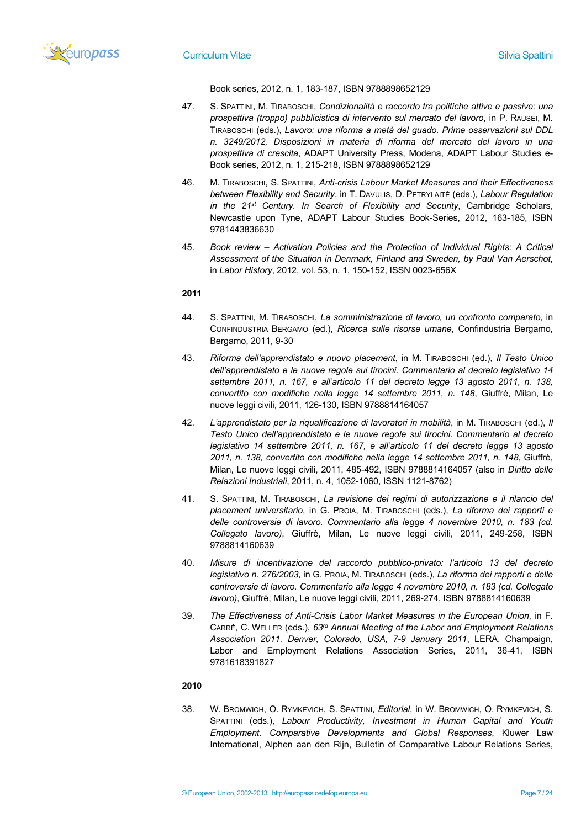

Book series, 2012, n. 1, 183-187, ISBN 9788898652129

- 47. S. SPATTINI, M. TIRABOSCHI, *Condizionalità e raccordo tra politiche attive e passive: una prospettiva (troppo) pubblicistica di intervento sul mercato del lavoro*, in P. RAUSEI, M. TIRABOSCHI (eds.), *Lavoro: una riforma a metà del guado. Prime osservazioni sul DDL n. 3249/2012, Disposizioni in materia di riforma del mercato del lavoro in una prospettiva di crescita*, ADAPT University Press, Modena, ADAPT Labour Studies e-Book series, 2012, n. 1, 215-218, ISBN 9788898652129
- 46. M. TIRABOSCHI, S. SPATTINI, *Anti-crisis Labour Market Measures and their Effectiveness between Flexibility and Security*, in T. DAVULIS, D. PETRYLAITĖ (eds.), *Labour Regulation in the 21st Century. In Search of Flexibility and Security*, Cambridge Scholars, Newcastle upon Tyne, ADAPT Labour Studies Book-Series, 2012, 163-185, ISBN 9781443836630
- 45. *Book review – Activation Policies and the Protection of Individual Rights: A Critical Assessment of the Situation in Denmark, Finland and Sweden, by Paul Van Aerschot*, in *Labor History*, 2012, vol. 53, n. 1, 150-152, ISSN 0023-656X

# **2011**

- 44. S. SPATTINI, M. TIRABOSCHI, *La somministrazione di lavoro, un confronto comparato*, in CONFINDUSTRIA BERGAMO (ed.), *Ricerca sulle risorse umane*, Confindustria Bergamo, Bergamo, 2011, 9-30
- 43. *Riforma dell'apprendistato e nuovo placement*, in M. TIRABOSCHI (ed.), *Il Testo Unico dell'apprendistato e le nuove regole sui tirocini. Commentario al decreto legislativo 14 settembre 2011, n. 167, e all'articolo 11 del decreto legge 13 agosto 2011, n. 138, convertito con modifiche nella legge 14 settembre 2011, n. 148*, Giuffrè, Milan, Le nuove leggi civili, 2011, 126-130, ISBN 9788814164057
- 42. *L'apprendistato per la riqualificazione di lavoratori in mobilità*, in M. TIRABOSCHI (ed.), *Il Testo Unico dell'apprendistato e le nuove regole sui tirocini. Commentario al decreto legislativo 14 settembre 2011, n. 167, e all'articolo 11 del decreto legge 13 agosto 2011, n. 138, convertito con modifiche nella legge 14 settembre 2011, n. 148*, Giuffrè, Milan, Le nuove leggi civili, 2011, 485-492, ISBN 9788814164057 (also in *Diritto delle Relazioni Industriali*, 2011, n. 4, 1052-1060, ISSN 1121-8762)
- 41. S. SPATTINI, M. TIRABOSCHI, *La revisione dei regimi di autorizzazione e il rilancio del placement universitario*, in G. PROIA, M. TIRABOSCHI (eds.), *La riforma dei rapporti e delle controversie di lavoro. Commentario alla legge 4 novembre 2010, n. 183 (cd. Collegato lavoro)*, Giuffrè, Milan, Le nuove leggi civili, 2011, 249-258, ISBN 9788814160639
- 40. *Misure di incentivazione del raccordo pubblico-privato: l'articolo 13 del decreto legislativo n. 276/2003*, in G. PROIA, M. TIRABOSCHI (eds.), *La riforma dei rapporti e delle controversie di lavoro. Commentario alla legge 4 novembre 2010, n. 183 (cd. Collegato lavoro)*, Giuffrè, Milan, Le nuove leggi civili, 2011, 269-274, ISBN 9788814160639
- 39. *The Effectiveness of Anti-Crisis Labor Market Measures in the European Union*, in F. CARRÉ, C. WELLER (eds.), *63rd Annual Meeting of the Labor and Employment Relations Association 2011. Denver, Colorado, USA, 7-9 January 2011*, LERA, Champaign, Labor and Employment Relations Association Series, 2011, 36-41, ISBN 9781618391827

# **2010**

38. W. BROMWICH, O. RYMKEVICH, S. SPATTINI, *Editorial*, in W. BROMWICH, O. RYMKEVICH, S. SPATTINI (eds.), *Labour Productivity, Investment in Human Capital and Youth Employment. Comparative Developments and Global Responses*, Kluwer Law International, Alphen aan den Rijn, Bulletin of Comparative Labour Relations Series,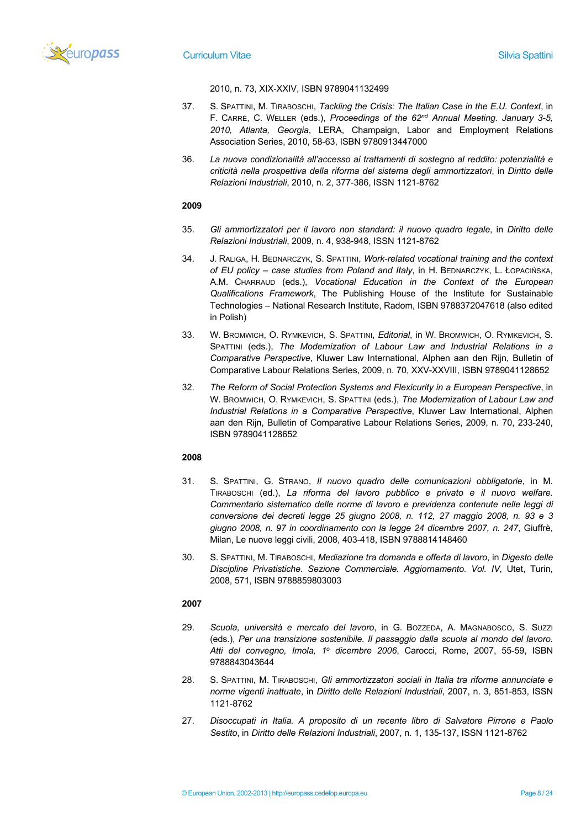

2010, n. 73, XIX-XXIV, ISBN 9789041132499

- 37. S. SPATTINI, M. TIRABOSCHI, *Tackling the Crisis: The Italian Case in the E.U. Context*, in F. CARRÉ, C. WELLER (eds.), *Proceedings of the 62nd Annual Meeting. January 3-5, 2010, Atlanta, Georgia*, LERA, Champaign, Labor and Employment Relations Association Series, 2010, 58-63, ISBN 9780913447000
- 36. *La nuova condizionalità all'accesso ai trattamenti di sostegno al reddito: potenzialità e criticità nella prospettiva della riforma del sistema degli ammortizzatori*, in *Diritto delle Relazioni Industriali*, 2010, n. 2, 377-386, ISSN 1121-8762

# **2009**

- 35. *Gli ammortizzatori per il lavoro non standard: il nuovo quadro legale*, in *Diritto delle Relazioni Industriali*, 2009, n. 4, 938-948, ISSN 1121-8762
- 34. J. RALIGA, H. BEDNARCZYK, S. SPATTINI, *Work-related vocational training and the context of EU policy – case studies from Poland and Italy*, in H. BEDNARCZYK, L. ŁOPACIŃSKA, A.M. CHARRAUD (eds.), *Vocational Education in the Context of the European Qualifications Framework*, The Publishing House of the Institute for Sustainable Technologies – National Research Institute, Radom, ISBN 9788372047618 (also edited in Polish)
- 33. W. BROMWICH, O. RYMKEVICH, S. SPATTINI, *Editorial*, in W. BROMWICH, O. RYMKEVICH, S. SPATTINI (eds.), *The Modernization of Labour Law and Industrial Relations in a Comparative Perspective*, Kluwer Law International, Alphen aan den Rijn, Bulletin of Comparative Labour Relations Series, 2009, n. 70, XXV-XXVIII, ISBN 9789041128652
- 32. *The Reform of Social Protection Systems and Flexicurity in a European Perspective*, in W. BROMWICH, O. RYMKEVICH, S. SPATTINI (eds.), *The Modernization of Labour Law and Industrial Relations in a Comparative Perspective*, Kluwer Law International, Alphen aan den Rijn, Bulletin of Comparative Labour Relations Series, 2009, n. 70, 233-240, ISBN 9789041128652

# **2008**

- 31. S. SPATTINI, G. STRANO, *Il nuovo quadro delle comunicazioni obbligatorie*, in M. TIRABOSCHI (ed.), *La riforma del lavoro pubblico e privato e il nuovo welfare. Commentario sistematico delle norme di lavoro e previdenza contenute nelle leggi di conversione dei decreti legge 25 giugno 2008, n. 112, 27 maggio 2008, n. 93 e 3 giugno 2008, n. 97 in coordinamento con la legge 24 dicembre 2007, n. 247*, Giuffrè, Milan, Le nuove leggi civili, 2008, 403-418, ISBN 9788814148460
- 30. S. SPATTINI, M. TIRABOSCHI, *Mediazione tra domanda e offerta di lavoro*, in *Digesto delle Discipline Privatistiche. Sezione Commerciale. Aggiornamento. Vol. IV*, Utet, Turin, 2008, 571, ISBN 9788859803003

- 29. *Scuola, università e mercato del lavoro*, in G. BOZZEDA, A. MAGNABOSCO, S. SUZZI (eds.), *Per una transizione sostenibile. Il passaggio dalla scuola al mondo del lavoro. Atti del convegno, Imola, 1o dicembre 2006*, Carocci, Rome, 2007, 55-59, ISBN 9788843043644
- 28. S. SPATTINI, M. TIRABOSCHI, *Gli ammortizzatori sociali in Italia tra riforme annunciate e norme vigenti inattuate*, in *Diritto delle Relazioni Industriali*, 2007, n. 3, 851-853, ISSN 1121-8762
- 27. *Disoccupati in Italia. A proposito di un recente libro di Salvatore Pirrone e Paolo Sestito*, in *Diritto delle Relazioni Industriali*, 2007, n. 1, 135-137, ISSN 1121-8762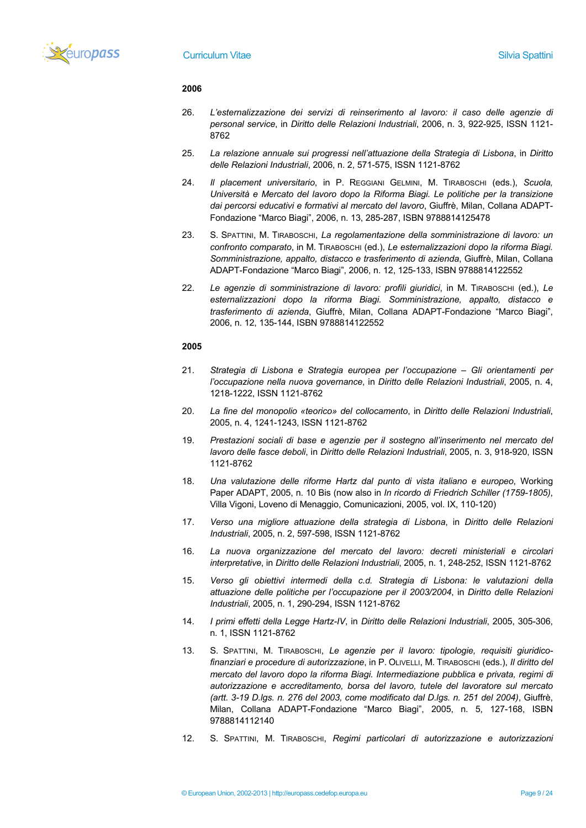

- 26. *L'esternalizzazione dei servizi di reinserimento al lavoro: il caso delle agenzie di personal service*, in *Diritto delle Relazioni Industriali*, 2006, n. 3, 922-925, ISSN 1121- 8762
- 25. *La relazione annuale sui progressi nell'attuazione della Strategia di Lisbona*, in *Diritto delle Relazioni Industriali*, 2006, n. 2, 571-575, ISSN 1121-8762
- 24. *Il placement universitario*, in P. REGGIANI GELMINI, M. TIRABOSCHI (eds.), *Scuola, Università e Mercato del lavoro dopo la Riforma Biagi. Le politiche per la transizione dai percorsi educativi e formativi al mercato del lavoro*, Giuffrè, Milan, Collana ADAPT-Fondazione "Marco Biagi", 2006, n. 13, 285-287, ISBN 9788814125478
- 23. S. SPATTINI, M. TIRABOSCHI, *La regolamentazione della somministrazione di lavoro: un confronto comparato*, in M. TIRABOSCHI (ed.), *Le esternalizzazioni dopo la riforma Biagi. Somministrazione, appalto, distacco e trasferimento di azienda*, Giuffrè, Milan, Collana ADAPT-Fondazione "Marco Biagi", 2006, n. 12, 125-133, ISBN 9788814122552
- 22. *Le agenzie di somministrazione di lavoro: profili giuridici*, in M. TIRABOSCHI (ed.), *Le esternalizzazioni dopo la riforma Biagi. Somministrazione, appalto, distacco e trasferimento di azienda*, Giuffrè, Milan, Collana ADAPT-Fondazione "Marco Biagi", 2006, n. 12, 135-144, ISBN 9788814122552

- 21. *Strategia di Lisbona e Strategia europea per l'occupazione – Gli orientamenti per l'occupazione nella nuova governance*, in *Diritto delle Relazioni Industriali*, 2005, n. 4, 1218-1222, ISSN 1121-8762
- 20. *La fine del monopolio «teorico» del collocamento*, in *Diritto delle Relazioni Industriali*, 2005, n. 4, 1241-1243, ISSN 1121-8762
- 19. *Prestazioni sociali di base e agenzie per il sostegno all'inserimento nel mercato del lavoro delle fasce deboli*, in *Diritto delle Relazioni Industriali*, 2005, n. 3, 918-920, ISSN 1121-8762
- 18. *Una valutazione delle riforme Hartz dal punto di vista italiano e europeo*, Working Paper ADAPT, 2005, n. 10 Bis (now also in *In ricordo di Friedrich Schiller (1759-1805)*, Villa Vigoni, Loveno di Menaggio, Comunicazioni, 2005, vol. IX, 110-120)
- 17. *Verso una migliore attuazione della strategia di Lisbona*, in *Diritto delle Relazioni Industriali*, 2005, n. 2, 597-598, ISSN 1121-8762
- 16. *La nuova organizzazione del mercato del lavoro: decreti ministeriali e circolari interpretative*, in *Diritto delle Relazioni Industriali*, 2005, n. 1, 248-252, ISSN 1121-8762
- 15. *Verso gli obiettivi intermedi della c.d. Strategia di Lisbona: le valutazioni della attuazione delle politiche per l'occupazione per il 2003/2004*, in *Diritto delle Relazioni Industriali*, 2005, n. 1, 290-294, ISSN 1121-8762
- 14. *I primi effetti della Legge Hartz-IV*, in *Diritto delle Relazioni Industriali*, 2005, 305-306, n. 1, ISSN 1121-8762
- 13. S. SPATTINI, M. TIRABOSCHI, *Le agenzie per il lavoro: tipologie, requisiti giuridicofinanziari e procedure di autorizzazione*, in P. OLIVELLI, M. TIRABOSCHI (eds.), *Il diritto del mercato del lavoro dopo la riforma Biagi. Intermediazione pubblica e privata, regimi di autorizzazione e accreditamento, borsa del lavoro, tutele del lavoratore sul mercato (artt. 3-19 D.lgs. n. 276 del 2003, come modificato dal D.lgs. n. 251 del 2004)*, Giuffrè, Milan, Collana ADAPT-Fondazione "Marco Biagi", 2005, n. 5, 127-168, ISBN 9788814112140
- 12. S. SPATTINI, M. TIRABOSCHI, *Regimi particolari di autorizzazione e autorizzazioni*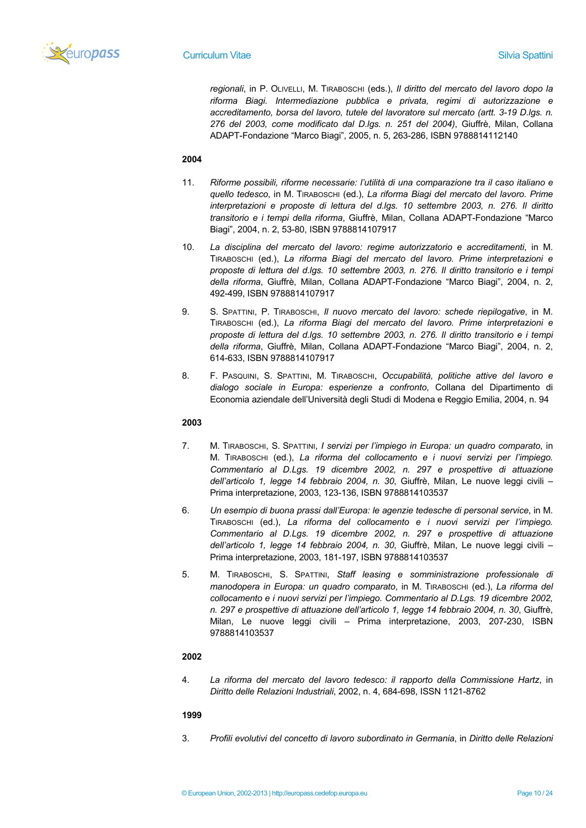

*regionali*, in P. OLIVELLI, M. TIRABOSCHI (eds.), *Il diritto del mercato del lavoro dopo la riforma Biagi. Intermediazione pubblica e privata, regimi di autorizzazione e accreditamento, borsa del lavoro, tutele del lavoratore sul mercato (artt. 3-19 D.lgs. n. 276 del 2003, come modificato dal D.lgs. n. 251 del 2004)*, Giuffrè, Milan, Collana ADAPT-Fondazione "Marco Biagi", 2005, n. 5, 263-286, ISBN 9788814112140

# **2004**

- 11. *Riforme possibili, riforme necessarie: l'utilità di una comparazione tra il caso italiano e quello tedesco*, in M. TIRABOSCHI (ed.), *La riforma Biagi del mercato del lavoro. Prime interpretazioni e proposte di lettura del d.lgs. 10 settembre 2003, n. 276. Il diritto transitorio e i tempi della riforma*, Giuffrè, Milan, Collana ADAPT-Fondazione "Marco Biagi", 2004, n. 2, 53-80, ISBN 9788814107917
- 10. *La disciplina del mercato del lavoro: regime autorizzatorio e accreditamenti*, in M. TIRABOSCHI (ed.), *La riforma Biagi del mercato del lavoro. Prime interpretazioni e proposte di lettura del d.lgs. 10 settembre 2003, n. 276. Il diritto transitorio e i tempi della riforma*, Giuffrè, Milan, Collana ADAPT-Fondazione "Marco Biagi", 2004, n. 2, 492-499, ISBN 9788814107917
- 9. S. SPATTINI, P. TIRABOSCHI, *Il nuovo mercato del lavoro: schede riepilogative*, in M. TIRABOSCHI (ed.), *La riforma Biagi del mercato del lavoro. Prime interpretazioni e proposte di lettura del d.lgs. 10 settembre 2003, n. 276. Il diritto transitorio e i tempi della riforma*, Giuffrè, Milan, Collana ADAPT-Fondazione "Marco Biagi", 2004, n. 2, 614-633, ISBN 9788814107917
- 8. F. PASQUINI, S. SPATTINI, M. TIRABOSCHI, *Occupabilità, politiche attive del lavoro e dialogo sociale in Europa: esperienze a confronto*, Collana del Dipartimento di Economia aziendale dell'Università degli Studi di Modena e Reggio Emilia, 2004, n. 94

# **2003**

- 7. M. TIRABOSCHI, S. SPATTINI, *I servizi per l'impiego in Europa: un quadro comparato*, in M. TIRABOSCHI (ed.), *La riforma del collocamento e i nuovi servizi per l'impiego. Commentario al D.Lgs. 19 dicembre 2002, n. 297 e prospettive di attuazione dell'articolo 1, legge 14 febbraio 2004, n. 30*, Giuffrè, Milan, Le nuove leggi civili – Prima interpretazione, 2003, 123-136, ISBN 9788814103537
- 6. *Un esempio di buona prassi dall'Europa: le agenzie tedesche di personal service*, in M. TIRABOSCHI (ed.), *La riforma del collocamento e i nuovi servizi per l'impiego. Commentario al D.Lgs. 19 dicembre 2002, n. 297 e prospettive di attuazione dell'articolo 1, legge 14 febbraio 2004, n. 30*, Giuffrè, Milan, Le nuove leggi civili – Prima interpretazione, 2003, 181-197, ISBN 9788814103537
- 5. M. TIRABOSCHI, S. SPATTINI, *Staff leasing e somministrazione professionale di manodopera in Europa: un quadro comparato*, in M. TIRABOSCHI (ed.), *La riforma del collocamento e i nuovi servizi per l'impiego. Commentario al D.Lgs. 19 dicembre 2002, n. 297 e prospettive di attuazione dell'articolo 1, legge 14 febbraio 2004, n. 30*, Giuffrè, Milan, Le nuove leggi civili – Prima interpretazione, 2003, 207-230, ISBN 9788814103537

### **2002**

4. *La riforma del mercato del lavoro tedesco: il rapporto della Commissione Hartz*, in *Diritto delle Relazioni Industriali*, 2002, n. 4, 684-698, ISSN 1121-8762

# **1999**

3. *Profili evolutivi del concetto di lavoro subordinato in Germania*, in *Diritto delle Relazioni*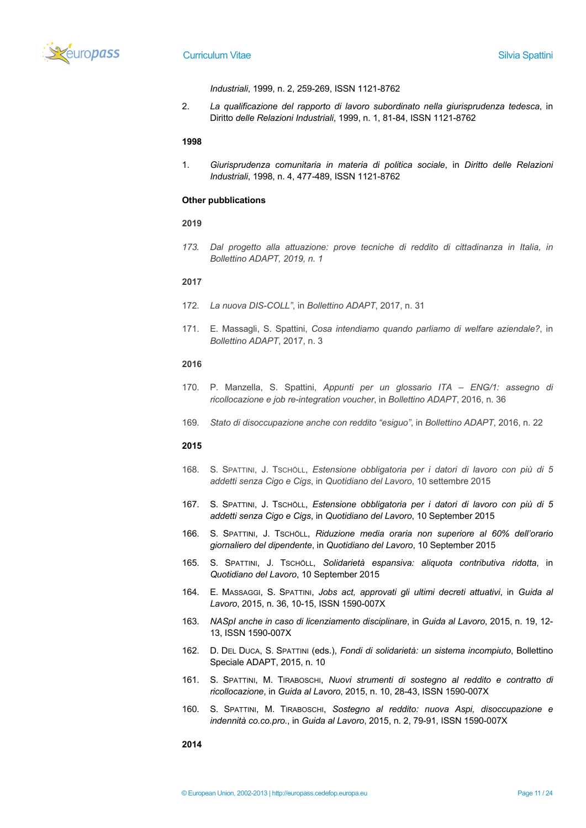

*Industriali*, 1999, n. 2, 259-269, ISSN 1121-8762

2. *La qualificazione del rapporto di lavoro subordinato nella giurisprudenza tedesca*, in Diritto *delle Relazioni Industriali*, 1999, n. 1, 81-84, ISSN 1121-8762

#### **1998**

1. *Giurisprudenza comunitaria in materia di politica sociale*, in *Diritto delle Relazioni Industriali*, 1998, n. 4, 477-489, ISSN 1121-8762

#### **Other pubblications**

#### **2019**

*173. Dal progetto alla attuazione: prove tecniche di reddito di cittadinanza in Italia, in Bollettino ADAPT, 2019, n. 1*

# **2017**

- 172. *La nuova DIS-COLL"*, in *Bollettino ADAPT*, 2017, n. 31
- 171. E. Massagli, S. Spattini, *Cosa intendiamo quando parliamo di welfare aziendale?*, in *Bollettino ADAPT*, 2017, n. 3

# **2016**

- 170. P. Manzella, S. Spattini, *Appunti per un glossario ITA – ENG/1: assegno di ricollocazione e job re-integration voucher*, in *Bollettino ADAPT*, 2016, n. 36
- 169. *Stato di disoccupazione anche con reddito "esiguo"*, in *Bollettino ADAPT*, 2016, n. 22

# **2015**

- 168. S. SPATTINI, J. TSCHÖLL, *Estensione obbligatoria per i datori di lavoro con più di 5 addetti senza Cigo e Cigs*, in *Quotidiano del Lavoro*, 10 settembre 2015
- 167. S. SPATTINI, J. TSCHÖLL, *Estensione obbligatoria per i datori di lavoro con più di 5 addetti senza Cigo e Cigs*, in *Quotidiano del Lavoro*, 10 September 2015
- 166. S. SPATTINI, J. TSCHÖLL, *Riduzione media oraria non superiore al 60% dell'orario giornaliero del dipendente*, in *Quotidiano del Lavoro*, 10 September 2015
- 165. S. SPATTINI, J. TSCHÖLL, *Solidarietà espansiva: aliquota contributiva ridotta*, in *Quotidiano del Lavoro*, 10 September 2015
- 164. E. MASSAGGI, S. SPATTINI, *Jobs act, approvati gli ultimi decreti attuativi*, in *Guida al Lavoro*, 2015, n. 36, 10-15, ISSN 1590-007X
- 163. *NASpI anche in caso di licenziamento disciplinare*, in *Guida al Lavoro*, 2015, n. 19, 12- 13, ISSN 1590-007X
- 162. D. DEL DUCA, S. SPATTINI (eds.), *Fondi di solidarietà: un sistema incompiuto*, Bollettino Speciale ADAPT, 2015, n. 10
- 161. S. SPATTINI, M. TIRABOSCHI, *Nuovi strumenti di sostegno al reddito e contratto di ricollocazione*, in *Guida al Lavoro*, 2015, n. 10, 28-43, ISSN 1590-007X
- 160. S. SPATTINI, M. TIRABOSCHI, *Sostegno al reddito: nuova Aspi, disoccupazione e indennità co.co.pro.*, in *Guida al Lavoro*, 2015, n. 2, 79-91, ISSN 1590-007X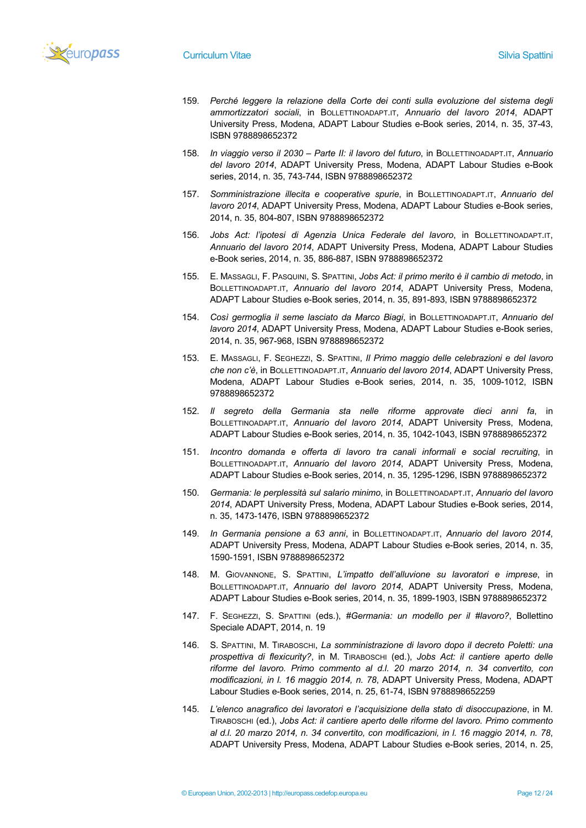

- 159. *Perché leggere la relazione della Corte dei conti sulla evoluzione del sistema degli ammortizzatori sociali*, in BOLLETTINOADAPT.IT, *Annuario del lavoro 2014*, ADAPT University Press, Modena, ADAPT Labour Studies e-Book series, 2014, n. 35, 37-43, ISBN 9788898652372
- 158. *In viaggio verso il 2030 – Parte II: il lavoro del futuro*, in BOLLETTINOADAPT.IT, *Annuario del lavoro 2014*, ADAPT University Press, Modena, ADAPT Labour Studies e-Book series, 2014, n. 35, 743-744, ISBN 9788898652372
- 157. *Somministrazione illecita e cooperative spurie*, in BOLLETTINOADAPT.IT, *Annuario del lavoro 2014*, ADAPT University Press, Modena, ADAPT Labour Studies e-Book series, 2014, n. 35, 804-807, ISBN 9788898652372
- 156. *Jobs Act: l'ipotesi di Agenzia Unica Federale del lavoro*, in BOLLETTINOADAPT.IT, *Annuario del lavoro 2014*, ADAPT University Press, Modena, ADAPT Labour Studies e-Book series, 2014, n. 35, 886-887, ISBN 9788898652372
- 155. E. MASSAGLI, F. PASQUINI, S. SPATTINI, *Jobs Act: il primo merito è il cambio di metodo*, in BOLLETTINOADAPT.IT, *Annuario del lavoro 2014*, ADAPT University Press, Modena, ADAPT Labour Studies e-Book series, 2014, n. 35, 891-893, ISBN 9788898652372
- 154. *Così germoglia il seme lasciato da Marco Biagi*, in BOLLETTINOADAPT.IT, *Annuario del lavoro 2014*, ADAPT University Press, Modena, ADAPT Labour Studies e-Book series, 2014, n. 35, 967-968, ISBN 9788898652372
- 153. E. MASSAGLI, F. SEGHEZZI, S. SPATTINI, *Il Primo maggio delle celebrazioni e del lavoro che non c'è*, in BOLLETTINOADAPT.IT, *Annuario del lavoro 2014*, ADAPT University Press, Modena, ADAPT Labour Studies e-Book series, 2014, n. 35, 1009-1012, ISBN 9788898652372
- 152. *Il segreto della Germania sta nelle riforme approvate dieci anni fa*, in BOLLETTINOADAPT.IT, *Annuario del lavoro 2014*, ADAPT University Press, Modena, ADAPT Labour Studies e-Book series, 2014, n. 35, 1042-1043, ISBN 9788898652372
- 151. *Incontro domanda e offerta di lavoro tra canali informali e social recruiting*, in BOLLETTINOADAPT.IT, *Annuario del lavoro 2014*, ADAPT University Press, Modena, ADAPT Labour Studies e-Book series, 2014, n. 35, 1295-1296, ISBN 9788898652372
- 150. *Germania: le perplessità sul salario minimo*, in BOLLETTINOADAPT.IT, *Annuario del lavoro 2014*, ADAPT University Press, Modena, ADAPT Labour Studies e-Book series, 2014, n. 35, 1473-1476, ISBN 9788898652372
- 149. *In Germania pensione a 63 anni*, in BOLLETTINOADAPT.IT, *Annuario del lavoro 2014*, ADAPT University Press, Modena, ADAPT Labour Studies e-Book series, 2014, n. 35, 1590-1591, ISBN 9788898652372
- 148. M. GIOVANNONE, S. SPATTINI, *L'impatto dell'alluvione su lavoratori e imprese*, in BOLLETTINOADAPT.IT, *Annuario del lavoro 2014*, ADAPT University Press, Modena, ADAPT Labour Studies e-Book series, 2014, n. 35, 1899-1903, ISBN 9788898652372
- 147. F. SEGHEZZI, S. SPATTINI (eds.), *#Germania: un modello per il #lavoro?*, Bollettino Speciale ADAPT, 2014, n. 19
- 146. S. SPATTINI, M. TIRABOSCHI, *La somministrazione di lavoro dopo il decreto Poletti: una prospettiva di flexicurity?*, in M. TIRABOSCHI (ed.), *Jobs Act: il cantiere aperto delle riforme del lavoro. Primo commento al d.l. 20 marzo 2014, n. 34 convertito, con modificazioni, in l. 16 maggio 2014, n. 78*, ADAPT University Press, Modena, ADAPT Labour Studies e-Book series, 2014, n. 25, 61-74, ISBN 9788898652259
- 145. *L'elenco anagrafico dei lavoratori e l'acquisizione della stato di disoccupazione*, in M. TIRABOSCHI (ed.), *Jobs Act: il cantiere aperto delle riforme del lavoro. Primo commento al d.l. 20 marzo 2014, n. 34 convertito, con modificazioni, in l. 16 maggio 2014, n. 78*, ADAPT University Press, Modena, ADAPT Labour Studies e-Book series, 2014, n. 25,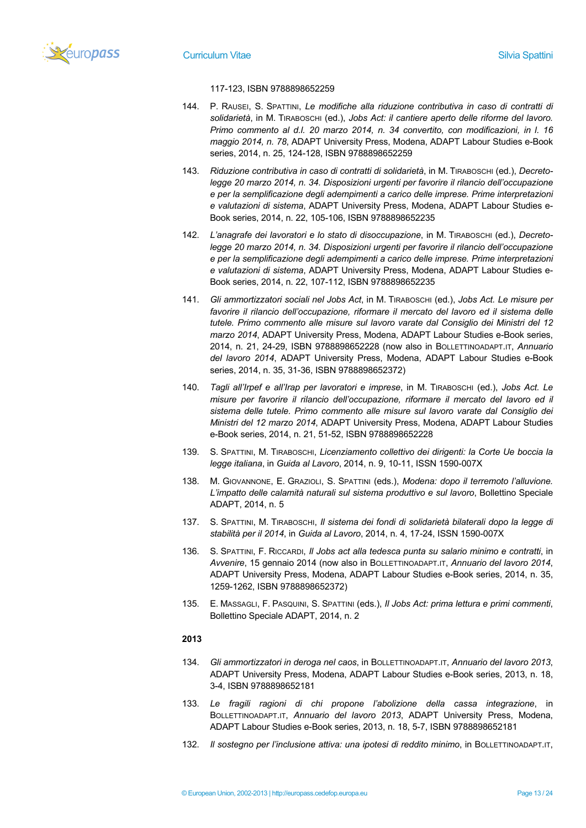

# 117-123, ISBN 9788898652259

- 144. P. RAUSEI, S. SPATTINI, *Le modifiche alla riduzione contributiva in caso di contratti di solidarietà*, in M. TIRABOSCHI (ed.), *Jobs Act: il cantiere aperto delle riforme del lavoro. Primo commento al d.l. 20 marzo 2014, n. 34 convertito, con modificazioni, in l. 16 maggio 2014, n. 78*, ADAPT University Press, Modena, ADAPT Labour Studies e-Book series, 2014, n. 25, 124-128, ISBN 9788898652259
- 143. *Riduzione contributiva in caso di contratti di solidarietà*, in M. TIRABOSCHI (ed.), *Decretolegge 20 marzo 2014, n. 34. Disposizioni urgenti per favorire il rilancio dell'occupazione e per la semplificazione degli adempimenti a carico delle imprese. Prime interpretazioni e valutazioni di sistema*, ADAPT University Press, Modena, ADAPT Labour Studies e-Book series, 2014, n. 22, 105-106, ISBN 9788898652235
- 142. *L'anagrafe dei lavoratori e lo stato di disoccupazione*, in M. TIRABOSCHI (ed.), *Decretolegge 20 marzo 2014, n. 34. Disposizioni urgenti per favorire il rilancio dell'occupazione e per la semplificazione degli adempimenti a carico delle imprese. Prime interpretazioni e valutazioni di sistema*, ADAPT University Press, Modena, ADAPT Labour Studies e-Book series, 2014, n. 22, 107-112, ISBN 9788898652235
- 141. *Gli ammortizzatori sociali nel Jobs Act*, in M. TIRABOSCHI (ed.), *Jobs Act. Le misure per favorire il rilancio dell'occupazione, riformare il mercato del lavoro ed il sistema delle tutele. Primo commento alle misure sul lavoro varate dal Consiglio dei Ministri del 12 marzo 2014*, ADAPT University Press, Modena, ADAPT Labour Studies e-Book series, 2014, n. 21, 24-29, ISBN 9788898652228 (now also in BOLLETTINOADAPT.IT, *Annuario del lavoro 2014*, ADAPT University Press, Modena, ADAPT Labour Studies e-Book series, 2014, n. 35, 31-36, ISBN 9788898652372)
- 140. *Tagli all'Irpef e all'Irap per lavoratori e imprese*, in M. TIRABOSCHI (ed.), *Jobs Act. Le misure per favorire il rilancio dell'occupazione, riformare il mercato del lavoro ed il sistema delle tutele. Primo commento alle misure sul lavoro varate dal Consiglio dei Ministri del 12 marzo 2014*, ADAPT University Press, Modena, ADAPT Labour Studies e-Book series, 2014, n. 21, 51-52, ISBN 9788898652228
- 139. S. SPATTINI, M. TIRABOSCHI, *Licenziamento collettivo dei dirigenti: la Corte Ue boccia la legge italiana*, in *Guida al Lavoro*, 2014, n. 9, 10-11, ISSN 1590-007X
- 138. M. GIOVANNONE, E. GRAZIOLI, S. SPATTINI (eds.), *Modena: dopo il terremoto l'alluvione. L'impatto delle calamità naturali sul sistema produttivo e sul lavoro*, Bollettino Speciale ADAPT, 2014, n. 5
- 137. S. SPATTINI, M. TIRABOSCHI, *Il sistema dei fondi di solidarietà bilaterali dopo la legge di stabilità per il 2014*, in *Guida al Lavoro*, 2014, n. 4, 17-24, ISSN 1590-007X
- 136. S. SPATTINI, F. RICCARDI, *Il Jobs act alla tedesca punta su salario minimo e contratti*, in *Avvenire*, 15 gennaio 2014 (now also in BOLLETTINOADAPT.IT, *Annuario del lavoro 2014*, ADAPT University Press, Modena, ADAPT Labour Studies e-Book series, 2014, n. 35, 1259-1262, ISBN 9788898652372)
- 135. E. MASSAGLI, F. PASQUINI, S. SPATTINI (eds.), *Il Jobs Act: prima lettura e primi commenti*, Bollettino Speciale ADAPT, 2014, n. 2

- 134. *Gli ammortizzatori in deroga nel caos*, in BOLLETTINOADAPT.IT, *Annuario del lavoro 2013*, ADAPT University Press, Modena, ADAPT Labour Studies e-Book series, 2013, n. 18, 3-4, ISBN 9788898652181
- 133. *Le fragili ragioni di chi propone l'abolizione della cassa integrazione*, in BOLLETTINOADAPT.IT, *Annuario del lavoro 2013*, ADAPT University Press, Modena, ADAPT Labour Studies e-Book series, 2013, n. 18, 5-7, ISBN 9788898652181
- 132. *Il sostegno per l'inclusione attiva: una ipotesi di reddito minimo*, in BOLLETTINOADAPT.IT,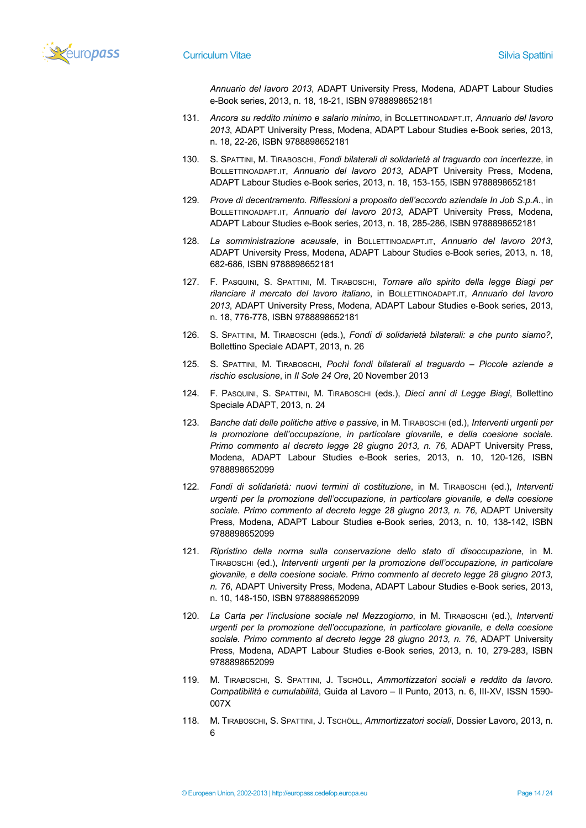

*Annuario del lavoro 2013*, ADAPT University Press, Modena, ADAPT Labour Studies e-Book series, 2013, n. 18, 18-21, ISBN 9788898652181

- 131. *Ancora su reddito minimo e salario minimo*, in BOLLETTINOADAPT.IT, *Annuario del lavoro 2013*, ADAPT University Press, Modena, ADAPT Labour Studies e-Book series, 2013, n. 18, 22-26, ISBN 9788898652181
- 130. S. SPATTINI, M. TIRABOSCHI, *Fondi bilaterali di solidarietà al traguardo con incertezze*, in BOLLETTINOADAPT.IT, *Annuario del lavoro 2013*, ADAPT University Press, Modena, ADAPT Labour Studies e-Book series, 2013, n. 18, 153-155, ISBN 9788898652181
- 129. *Prove di decentramento. Riflessioni a proposito dell'accordo aziendale In Job S.p.A.*, in BOLLETTINOADAPT.IT, *Annuario del lavoro 2013*, ADAPT University Press, Modena, ADAPT Labour Studies e-Book series, 2013, n. 18, 285-286, ISBN 9788898652181
- 128. *La somministrazione acausale*, in BOLLETTINOADAPT.IT, *Annuario del lavoro 2013*, ADAPT University Press, Modena, ADAPT Labour Studies e-Book series, 2013, n. 18, 682-686, ISBN 9788898652181
- 127. F. PASQUINI, S. SPATTINI, M. TIRABOSCHI, *Tornare allo spirito della legge Biagi per rilanciare il mercato del lavoro italiano*, in BOLLETTINOADAPT.IT, *Annuario del lavoro 2013*, ADAPT University Press, Modena, ADAPT Labour Studies e-Book series, 2013, n. 18, 776-778, ISBN 9788898652181
- 126. S. SPATTINI, M. TIRABOSCHI (eds.), *Fondi di solidarietà bilaterali: a che punto siamo?*, Bollettino Speciale ADAPT, 2013, n. 26
- 125. S. SPATTINI, M. TIRABOSCHI, *Pochi fondi bilaterali al traguardo – Piccole aziende a rischio esclusione*, in *Il Sole 24 Ore*, 20 November 2013
- 124. F. PASQUINI, S. SPATTINI, M. TIRABOSCHI (eds.), *Dieci anni di Legge Biagi*, Bollettino Speciale ADAPT, 2013, n. 24
- 123. *Banche dati delle politiche attive e passive*, in M. TIRABOSCHI (ed.), *Interventi urgenti per la promozione dell'occupazione, in particolare giovanile, e della coesione sociale. Primo commento al decreto legge 28 giugno 2013, n. 76*, ADAPT University Press, Modena, ADAPT Labour Studies e-Book series, 2013, n. 10, 120-126, ISBN 9788898652099
- 122. *Fondi di solidarietà: nuovi termini di costituzione*, in M. TIRABOSCHI (ed.), *Interventi urgenti per la promozione dell'occupazione, in particolare giovanile, e della coesione sociale. Primo commento al decreto legge 28 giugno 2013, n. 76*, ADAPT University Press, Modena, ADAPT Labour Studies e-Book series, 2013, n. 10, 138-142, ISBN 9788898652099
- 121. *Ripristino della norma sulla conservazione dello stato di disoccupazione*, in M. TIRABOSCHI (ed.), *Interventi urgenti per la promozione dell'occupazione, in particolare giovanile, e della coesione sociale. Primo commento al decreto legge 28 giugno 2013, n. 76*, ADAPT University Press, Modena, ADAPT Labour Studies e-Book series, 2013, n. 10, 148-150, ISBN 9788898652099
- 120. *La Carta per l'inclusione sociale nel Mezzogiorno*, in M. TIRABOSCHI (ed.), *Interventi urgenti per la promozione dell'occupazione, in particolare giovanile, e della coesione sociale. Primo commento al decreto legge 28 giugno 2013, n. 76*, ADAPT University Press, Modena, ADAPT Labour Studies e-Book series, 2013, n. 10, 279-283, ISBN 9788898652099
- 119. M. TIRABOSCHI, S. SPATTINI, J. TSCHÖLL, *Ammortizzatori sociali e reddito da lavoro. Compatibilità e cumulabilità*, Guida al Lavoro – Il Punto, 2013, n. 6, III-XV, ISSN 1590- 007X
- 118. M. TIRABOSCHI, S. SPATTINI, J. TSCHÖLL, *Ammortizzatori sociali*, Dossier Lavoro, 2013, n. 6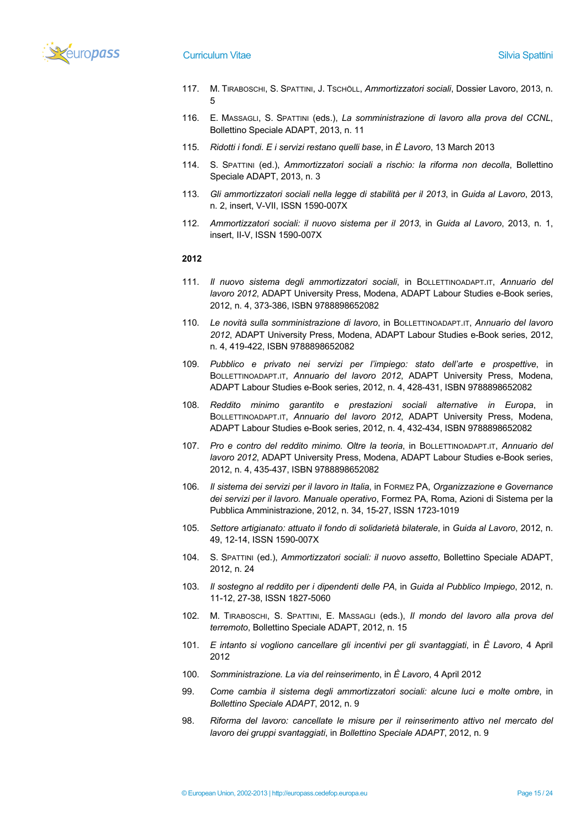

- 117. M. TIRABOSCHI, S. SPATTINI, J. TSCHÖLL, *Ammortizzatori sociali*, Dossier Lavoro, 2013, n. 5
- 116. E. MASSAGLI, S. SPATTINI (eds.), *La somministrazione di lavoro alla prova del CCNL*, Bollettino Speciale ADAPT, 2013, n. 11
- 115. *Ridotti i fondi. E i servizi restano quelli base*, in *È Lavoro*, 13 March 2013
- 114. S. SPATTINI (ed.), *Ammortizzatori sociali a rischio: la riforma non decolla*, Bollettino Speciale ADAPT, 2013, n. 3
- 113. *Gli ammortizzatori sociali nella legge di stabilità per il 2013*, in *Guida al Lavoro*, 2013, n. 2, insert, V-VII, ISSN 1590-007X
- 112. *Ammortizzatori sociali: il nuovo sistema per il 2013*, in *Guida al Lavoro*, 2013, n. 1, insert, II-V, ISSN 1590-007X

- 111. *Il nuovo sistema degli ammortizzatori sociali*, in BOLLETTINOADAPT.IT, *Annuario del lavoro 2012*, ADAPT University Press, Modena, ADAPT Labour Studies e-Book series, 2012, n. 4, 373-386, ISBN 9788898652082
- 110. *Le novità sulla somministrazione di lavoro*, in BOLLETTINOADAPT.IT, *Annuario del lavoro 2012*, ADAPT University Press, Modena, ADAPT Labour Studies e-Book series, 2012, n. 4, 419-422, ISBN 9788898652082
- 109. *Pubblico e privato nei servizi per l'impiego: stato dell'arte e prospettive*, in BOLLETTINOADAPT.IT, *Annuario del lavoro 2012*, ADAPT University Press, Modena, ADAPT Labour Studies e-Book series, 2012, n. 4, 428-431, ISBN 9788898652082
- 108. *Reddito minimo garantito e prestazioni sociali alternative in Europa*, in BOLLETTINOADAPT.IT, *Annuario del lavoro 2012*, ADAPT University Press, Modena, ADAPT Labour Studies e-Book series, 2012, n. 4, 432-434, ISBN 9788898652082
- 107. *Pro e contro del reddito minimo. Oltre la teoria*, in BOLLETTINOADAPT.IT, *Annuario del lavoro 2012*, ADAPT University Press, Modena, ADAPT Labour Studies e-Book series, 2012, n. 4, 435-437, ISBN 9788898652082
- 106. *Il sistema dei servizi per il lavoro in Italia*, in FORMEZ PA, *Organizzazione e Governance dei servizi per il lavoro. Manuale operativo*, Formez PA, Roma, Azioni di Sistema per la Pubblica Amministrazione, 2012, n. 34, 15-27, ISSN 1723-1019
- 105. *Settore artigianato: attuato il fondo di solidarietà bilaterale*, in *Guida al Lavoro*, 2012, n. 49, 12-14, ISSN 1590-007X
- 104. S. SPATTINI (ed.), *Ammortizzatori sociali: il nuovo assetto*, Bollettino Speciale ADAPT, 2012, n. 24
- 103. *Il sostegno al reddito per i dipendenti delle PA*, in *Guida al Pubblico Impiego*, 2012, n. 11-12, 27-38, ISSN 1827-5060
- 102. M. TIRABOSCHI, S. SPATTINI, E. MASSAGLI (eds.), *Il mondo del lavoro alla prova del terremoto*, Bollettino Speciale ADAPT, 2012, n. 15
- 101. *E intanto si vogliono cancellare gli incentivi per gli svantaggiati*, in *È Lavoro*, 4 April 2012
- 100. *Somministrazione. La via del reinserimento*, in *È Lavoro*, 4 April 2012
- 99. *Come cambia il sistema degli ammortizzatori sociali: alcune luci e molte ombre*, in *Bollettino Speciale ADAPT*, 2012, n. 9
- 98. *Riforma del lavoro: cancellate le misure per il reinserimento attivo nel mercato del lavoro dei gruppi svantaggiati*, in *Bollettino Speciale ADAPT*, 2012, n. 9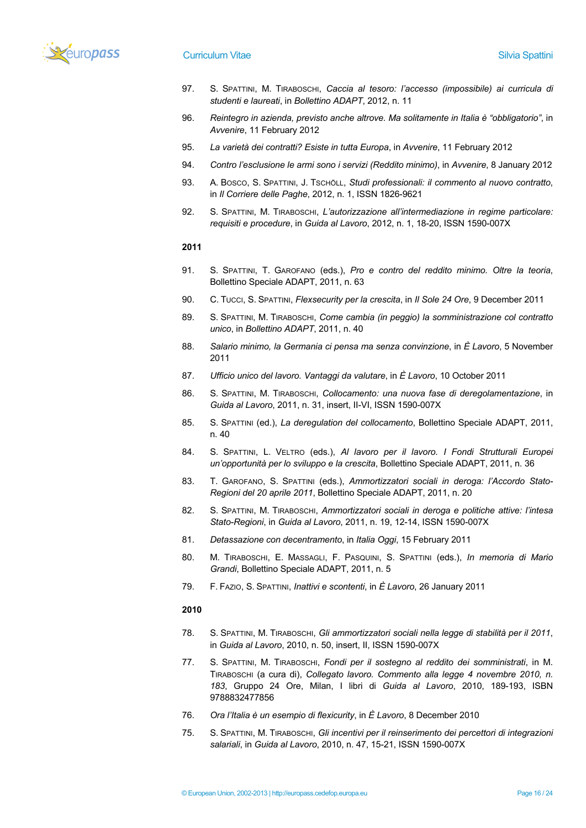

# **Curriculum Vitae Silvia Spattini** Silvia Spattini Silvia Spattini Silvia Spattini Silvia Spattini Silvia Spattini

- 97. S. SPATTINI, M. TIRABOSCHI, *Caccia al tesoro: l'accesso (impossibile) ai curricula di studenti e laureati*, in *Bollettino ADAPT*, 2012, n. 11
- 96. *Reintegro in azienda, previsto anche altrove. Ma solitamente in Italia è "obbligatorio"*, in *Avvenire*, 11 February 2012
- 95. *La varietà dei contratti? Esiste in tutta Europa*, in *Avvenire*, 11 February 2012
- 94. *Contro l'esclusione le armi sono i servizi (Reddito minimo)*, in *Avvenire*, 8 January 2012
- 93. A. BOSCO, S. SPATTINI, J. TSCHÖLL, *Studi professionali: il commento al nuovo contratto*, in *Il Corriere delle Paghe*, 2012, n. 1, ISSN 1826-9621
- 92. S. SPATTINI, M. TIRABOSCHI, *L'autorizzazione all'intermediazione in regime particolare: requisiti e procedure*, in *Guida al Lavoro*, 2012, n. 1, 18-20, ISSN 1590-007X

# **2011**

- 91. S. SPATTINI, T. GAROFANO (eds.), *Pro e contro del reddito minimo. Oltre la teoria*, Bollettino Speciale ADAPT, 2011, n. 63
- 90. C. TUCCI, S. SPATTINI, *Flexsecurity per la crescita*, in *Il Sole 24 Ore*, 9 December 2011
- 89. S. SPATTINI, M. TIRABOSCHI, *Come cambia (in peggio) la somministrazione col contratto unico*, in *Bollettino ADAPT*, 2011, n. 40
- 88. *Salario minimo, la Germania ci pensa ma senza convinzione*, in *È Lavoro*, 5 November 2011
- 87. *Ufficio unico del lavoro. Vantaggi da valutare*, in *È Lavoro*, 10 October 2011
- 86. S. SPATTINI, M. TIRABOSCHI, *Collocamento: una nuova fase di deregolamentazione*, in *Guida al Lavoro*, 2011, n. 31, insert, II-VI, ISSN 1590-007X
- 85. S. SPATTINI (ed.), *La deregulation del collocamento*, Bollettino Speciale ADAPT, 2011, n. 40
- 84. S. SPATTINI, L. VELTRO (eds.), *Al lavoro per il lavoro. I Fondi Strutturali Europei un'opportunità per lo sviluppo e la crescita*, Bollettino Speciale ADAPT, 2011, n. 36
- 83. T. GAROFANO, S. SPATTINI (eds.), *Ammortizzatori sociali in deroga: l'Accordo Stato-Regioni del 20 aprile 2011*, Bollettino Speciale ADAPT, 2011, n. 20
- 82. S. SPATTINI, M. TIRABOSCHI, *Ammortizzatori sociali in deroga e politiche attive: l'intesa Stato-Regioni*, in *Guida al Lavoro*, 2011, n. 19, 12-14, ISSN 1590-007X
- 81. *Detassazione con decentramento*, in *Italia Oggi*, 15 February 2011
- 80. M. TIRABOSCHI, E. MASSAGLI, F. PASQUINI, S. SPATTINI (eds.), *In memoria di Mario Grandi*, Bollettino Speciale ADAPT, 2011, n. 5
- 79. F. FAZIO, S. SPATTINI, *Inattivi e scontenti*, in *È Lavoro*, 26 January 2011

- 78. S. SPATTINI, M. TIRABOSCHI, *Gli ammortizzatori sociali nella legge di stabilità per il 2011*, in *Guida al Lavoro*, 2010, n. 50, insert, II, ISSN 1590-007X
- 77. S. SPATTINI, M. TIRABOSCHI, *Fondi per il sostegno al reddito dei somministrati*, in M. TIRABOSCHI (a cura di), *Collegato lavoro. Commento alla legge 4 novembre 2010, n. 183*, Gruppo 24 Ore, Milan, I libri di *Guida al Lavoro*, 2010, 189-193, ISBN 9788832477856
- 76. *Ora l'Italia è un esempio di flexicurity*, in *È Lavoro*, 8 December 2010
- 75. S. SPATTINI, M. TIRABOSCHI, *Gli incentivi per il reinserimento dei percettori di integrazioni salariali*, in *Guida al Lavoro*, 2010, n. 47, 15-21, ISSN 1590-007X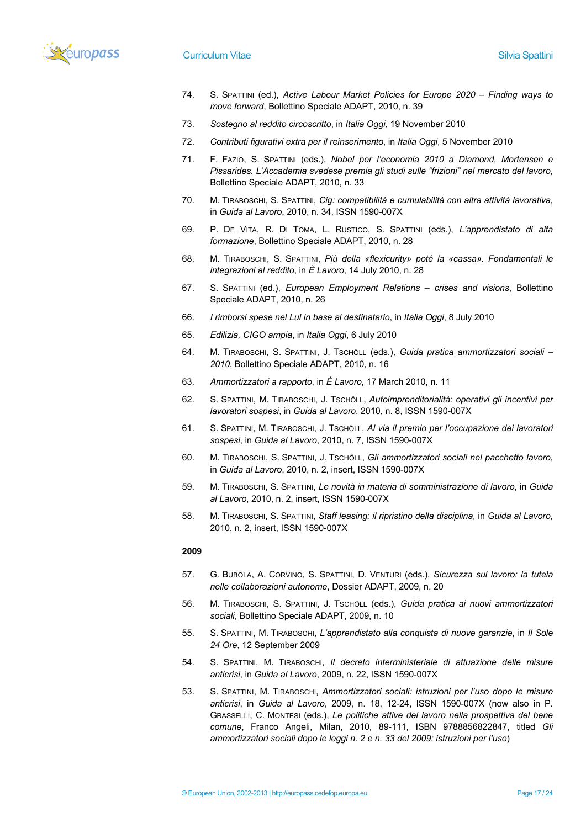

- 74. S. SPATTINI (ed.), *Active Labour Market Policies for Europe 2020 – Finding ways to move forward*, Bollettino Speciale ADAPT, 2010, n. 39
- 73. *Sostegno al reddito circoscritto*, in *Italia Oggi*, 19 November 2010
- 72. *Contributi figurativi extra per il reinserimento*, in *Italia Oggi*, 5 November 2010
- 71. F. FAZIO, S. SPATTINI (eds.), *Nobel per l'economia 2010 a Diamond, Mortensen e Pissarides. L'Accademia svedese premia gli studi sulle "frizioni" nel mercato del lavoro*, Bollettino Speciale ADAPT, 2010, n. 33
- 70. M. TIRABOSCHI, S. SPATTINI, *Cig: compatibilità e cumulabilità con altra attività lavorativa*, in *Guida al Lavoro*, 2010, n. 34, ISSN 1590-007X
- 69. P. DE VITA, R. DI TOMA, L. RUSTICO, S. SPATTINI (eds.), *L'apprendistato di alta formazione*, Bollettino Speciale ADAPT, 2010, n. 28
- 68. M. TIRABOSCHI, S. SPATTINI, *Più della «flexicurity» poté la «cassa». Fondamentali le integrazioni al reddito*, in *È Lavoro*, 14 July 2010, n. 28
- 67. S. SPATTINI (ed.), *European Employment Relations – crises and visions*, Bollettino Speciale ADAPT, 2010, n. 26
- 66. *I rimborsi spese nel Lul in base al destinatario*, in *Italia Oggi*, 8 July 2010
- 65. *Edilizia, CIGO ampia*, in *Italia Oggi*, 6 July 2010
- 64. M. TIRABOSCHI, S. SPATTINI, J. TSCHÖLL (eds.), *Guida pratica ammortizzatori sociali – 2010*, Bollettino Speciale ADAPT, 2010, n. 16
- 63. *Ammortizzatori a rapporto*, in *È Lavoro*, 17 March 2010, n. 11
- 62. S. SPATTINI, M. TIRABOSCHI, J. TSCHÖLL, *Autoimprenditorialità: operativi gli incentivi per lavoratori sospesi*, in *Guida al Lavoro*, 2010, n. 8, ISSN 1590-007X
- 61. S. SPATTINI, M. TIRABOSCHI, J. TSCHÖLL, *Al via il premio per l'occupazione dei lavoratori sospesi*, in *Guida al Lavoro*, 2010, n. 7, ISSN 1590-007X
- 60. M. TIRABOSCHI, S. SPATTINI, J. TSCHÖLL, *Gli ammortizzatori sociali nel pacchetto lavoro*, in *Guida al Lavoro*, 2010, n. 2, insert, ISSN 1590-007X
- 59. M. TIRABOSCHI, S. SPATTINI, *Le novità in materia di somministrazione di lavoro*, in *Guida al Lavoro*, 2010, n. 2, insert, ISSN 1590-007X
- 58. M. TIRABOSCHI, S. SPATTINI, *Staff leasing: il ripristino della disciplina*, in *Guida al Lavoro*, 2010, n. 2, insert, ISSN 1590-007X

- 57. G. BUBOLA, A. CORVINO, S. SPATTINI, D. VENTURI (eds.), *Sicurezza sul lavoro: la tutela nelle collaborazioni autonome*, Dossier ADAPT, 2009, n. 20
- 56. M. TIRABOSCHI, S. SPATTINI, J. TSCHÖLL (eds.), *Guida pratica ai nuovi ammortizzatori sociali*, Bollettino Speciale ADAPT, 2009, n. 10
- 55. S. SPATTINI, M. TIRABOSCHI, *L'apprendistato alla conquista di nuove garanzie*, in *Il Sole 24 Ore*, 12 September 2009
- 54. S. SPATTINI, M. TIRABOSCHI, *Il decreto interministeriale di attuazione delle misure anticrisi*, in *Guida al Lavoro*, 2009, n. 22, ISSN 1590-007X
- 53. S. SPATTINI, M. TIRABOSCHI, *Ammortizzatori sociali: istruzioni per l'uso dopo le misure anticrisi*, in *Guida al Lavoro*, 2009, n. 18, 12-24, ISSN 1590-007X (now also in P. GRASSELLI, C. MONTESI (eds.), *Le politiche attive del lavoro nella prospettiva del bene comune*, Franco Angeli, Milan, 2010, 89-111, ISBN 9788856822847, titled *Gli ammortizzatori sociali dopo le leggi n. 2 e n. 33 del 2009: istruzioni per l'uso*)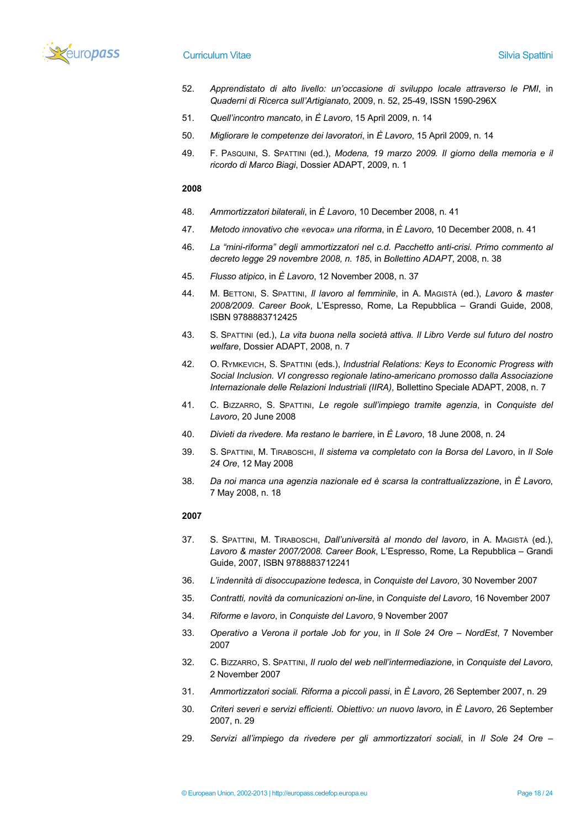

# **Curriculum Vitae Silvia Spattini** Silvia Spattini Silvia Spattini Silvia Spattini Silvia Spattini Silvia Spattini

- 52. *Apprendistato di alto livello: un'occasione di sviluppo locale attraverso le PMI*, in *Quaderni di Ricerca sull'Artigianato*, 2009, n. 52, 25-49, ISSN 1590-296X
- 51. *Quell'incontro mancato*, in *È Lavoro*, 15 April 2009, n. 14
- 50. *Migliorare le competenze dei lavoratori*, in *È Lavoro*, 15 April 2009, n. 14
- 49. F. PASQUINI, S. SPATTINI (ed.), *Modena, 19 marzo 2009. Il giorno della memoria e il ricordo di Marco Biagi*, Dossier ADAPT, 2009, n. 1

## **2008**

- 48. *Ammortizzatori bilaterali*, in *È Lavoro*, 10 December 2008, n. 41
- 47. *Metodo innovativo che «evoca» una riforma*, in *È Lavoro*, 10 December 2008, n. 41
- 46. *La "mini-riforma" degli ammortizzatori nel c.d. Pacchetto anti-crisi. Primo commento al decreto legge 29 novembre 2008, n. 185*, in *Bollettino ADAPT*, 2008, n. 38
- 45. *Flusso atipico*, in *È Lavoro*, 12 November 2008, n. 37
- 44. M. BETTONI, S. SPATTINI, *Il lavoro al femminile*, in A. MAGISTÀ (ed.), *Lavoro & master 2008/2009. Career Book*, L'Espresso, Rome, La Repubblica – Grandi Guide, 2008, ISBN 9788883712425
- 43. S. SPATTINI (ed.), *La vita buona nella società attiva. Il Libro Verde sul futuro del nostro welfare*, Dossier ADAPT, 2008, n. 7
- 42. O. RYMKEVICH, S. SPATTINI (eds.), *Industrial Relations: Keys to Economic Progress with Social Inclusion. VI congresso regionale latino-americano promosso dalla Associazione Internazionale delle Relazioni Industriali (IIRA)*, Bollettino Speciale ADAPT, 2008, n. 7
- 41. C. BIZZARRO, S. SPATTINI, *Le regole sull'impiego tramite agenzia*, in *Conquiste del Lavoro*, 20 June 2008
- 40. *Divieti da rivedere. Ma restano le barriere*, in *È Lavoro*, 18 June 2008, n. 24
- 39. S. SPATTINI, M. TIRABOSCHI, *Il sistema va completato con la Borsa del Lavoro*, in *Il Sole 24 Ore*, 12 May 2008
- 38. *Da noi manca una agenzia nazionale ed è scarsa la contrattualizzazione*, in *È Lavoro*, 7 May 2008, n. 18

- 37. S. SPATTINI, M. TIRABOSCHI, *Dall'università al mondo del lavoro*, in A. MAGISTÀ (ed.), *Lavoro & master 2007/2008. Career Book*, L'Espresso, Rome, La Repubblica – Grandi Guide, 2007, ISBN 9788883712241
- 36. *L'indennità di disoccupazione tedesca*, in *Conquiste del Lavoro*, 30 November 2007
- 35. *Contratti, novità da comunicazioni on-line*, in *Conquiste del Lavoro*, 16 November 2007
- 34. *Riforme e lavoro*, in *Conquiste del Lavoro*, 9 November 2007
- 33. *Operativo a Verona il portale Job for you*, in *Il Sole 24 Ore – NordEst*, 7 November 2007
- 32. C. BIZZARRO, S. SPATTINI, *Il ruolo del web nell'intermediazione*, in *Conquiste del Lavoro*, 2 November 2007
- 31. *Ammortizzatori sociali. Riforma a piccoli passi*, in *È Lavoro*, 26 September 2007, n. 29
- 30. *Criteri severi e servizi efficienti. Obiettivo: un nuovo lavoro*, in *È Lavoro*, 26 September 2007, n. 29
- 29. *Servizi all'impiego da rivedere per gli ammortizzatori sociali*, in *Il Sole 24 Ore –*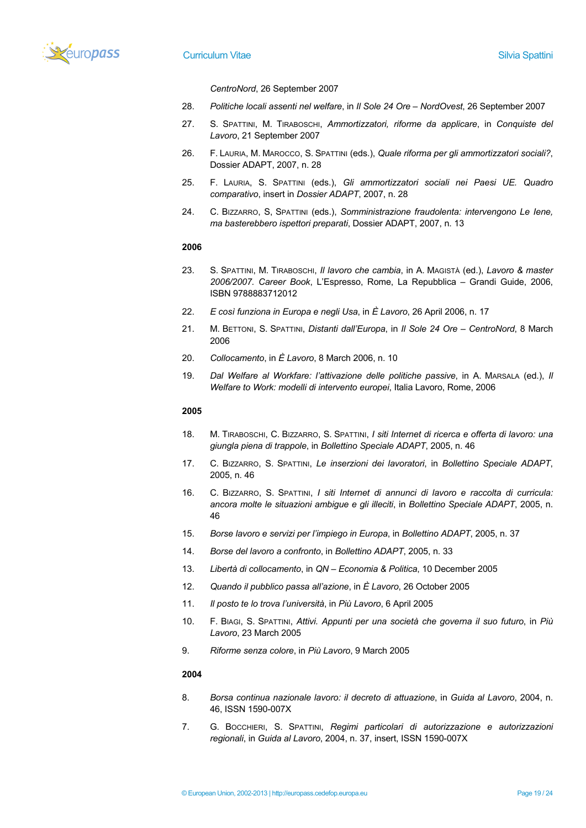

*CentroNord*, 26 September 2007

- 28. *Politiche locali assenti nel welfare*, in *Il Sole 24 Ore – NordOvest*, 26 September 2007
- 27. S. SPATTINI, M. TIRABOSCHI, *Ammortizzatori, riforme da applicare*, in *Conquiste del Lavoro*, 21 September 2007
- 26. F. LAURIA, M. MAROCCO, S. SPATTINI (eds.), *Quale riforma per gli ammortizzatori sociali?*, Dossier ADAPT, 2007, n. 28
- 25. F. LAURIA, S. SPATTINI (eds.), *Gli ammortizzatori sociali nei Paesi UE. Quadro comparativo*, insert in *Dossier ADAPT*, 2007, n. 28
- 24. C. BIZZARRO, S, SPATTINI (eds.), *Somministrazione fraudolenta: intervengono Le Iene, ma basterebbero ispettori preparati*, Dossier ADAPT, 2007, n. 13

# **2006**

- 23. S. SPATTINI, M. TIRABOSCHI, *Il lavoro che cambia*, in A. MAGISTÀ (ed.), *Lavoro & master 2006/2007. Career Book*, L'Espresso, Rome, La Repubblica – Grandi Guide, 2006, ISBN 9788883712012
- 22. *E così funziona in Europa e negli Usa*, in *È Lavoro*, 26 April 2006, n. 17
- 21. M. BETTONI, S. SPATTINI, *Distanti dall'Europa*, in *Il Sole 24 Ore – CentroNord*, 8 March 2006
- 20. *Collocamento*, in *È Lavoro*, 8 March 2006, n. 10
- 19. *Dal Welfare al Workfare: l'attivazione delle politiche passive*, in A. MARSALA (ed.), *Il Welfare to Work: modelli di intervento europei*, Italia Lavoro, Rome, 2006

#### **2005**

- 18. M. TIRABOSCHI, C. BIZZARRO, S. SPATTINI, *I siti Internet di ricerca e offerta di lavoro: una giungla piena di trappole*, in *Bollettino Speciale ADAPT*, 2005, n. 46
- 17. C. BIZZARRO, S. SPATTINI, *Le inserzioni dei lavoratori*, in *Bollettino Speciale ADAPT*, 2005, n. 46
- 16. C. BIZZARRO, S. SPATTINI, *I siti Internet di annunci di lavoro e raccolta di curricula: ancora molte le situazioni ambigue e gli illeciti*, in *Bollettino Speciale ADAPT*, 2005, n. 46
- 15. *Borse lavoro e servizi per l'impiego in Europa*, in *Bollettino ADAPT*, 2005, n. 37
- 14. *Borse del lavoro a confronto*, in *Bollettino ADAPT*, 2005, n. 33
- 13. *Libertà di collocamento*, in *QN – Economia & Politica*, 10 December 2005
- 12. *Quando il pubblico passa all'azione*, in *È Lavoro*, 26 October 2005
- 11. *Il posto te lo trova l'università*, in *Più Lavoro*, 6 April 2005
- 10. F. BIAGI, S. SPATTINI, *Attivi. Appunti per una società che governa il suo futuro*, in *Più Lavoro*, 23 March 2005
- 9. *Riforme senza colore*, in *Più Lavoro*, 9 March 2005

- 8. *Borsa continua nazionale lavoro: il decreto di attuazione*, in *Guida al Lavoro*, 2004, n. 46, ISSN 1590-007X
- 7. G. BOCCHIERI, S. SPATTINI, *Regimi particolari di autorizzazione e autorizzazioni regionali*, in *Guida al Lavoro*, 2004, n. 37, insert, ISSN 1590-007X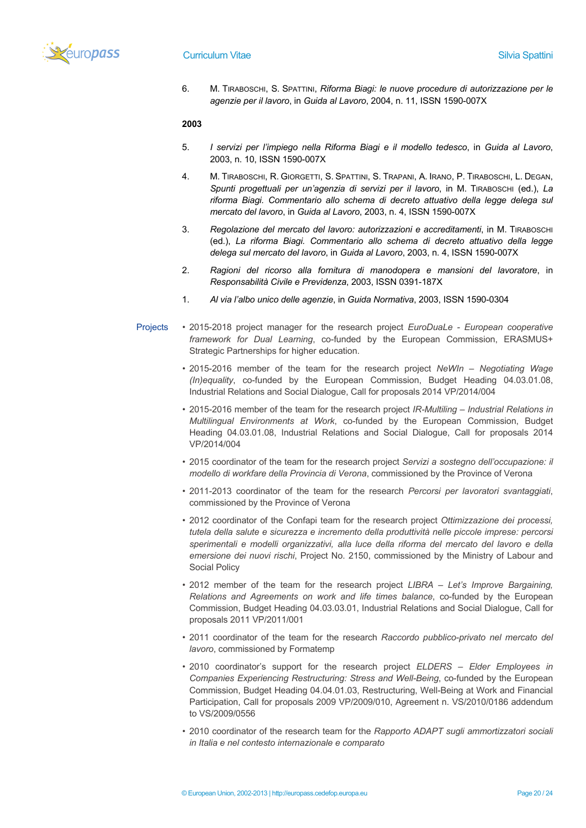

6. M. TIRABOSCHI, S. SPATTINI, *Riforma Biagi: le nuove procedure di autorizzazione per le agenzie per il lavoro*, in *Guida al Lavoro*, 2004, n. 11, ISSN 1590-007X

- 5. *I servizi per l'impiego nella Riforma Biagi e il modello tedesco*, in *Guida al Lavoro*, 2003, n. 10, ISSN 1590-007X
- 4. M. TIRABOSCHI, R. GIORGETTI, S. SPATTINI, S. TRAPANI, A. IRANO, P. TIRABOSCHI, L. DEGAN, *Spunti progettuali per un'agenzia di servizi per il lavoro*, in M. TIRABOSCHI (ed.), *La riforma Biagi. Commentario allo schema di decreto attuativo della legge delega sul mercato del lavoro*, in *Guida al Lavoro*, 2003, n. 4, ISSN 1590-007X
- 3. *Regolazione del mercato del lavoro: autorizzazioni e accreditamenti*, in M. TIRABOSCHI (ed.), *La riforma Biagi. Commentario allo schema di decreto attuativo della legge delega sul mercato del lavoro*, in *Guida al Lavoro*, 2003, n. 4, ISSN 1590-007X
- 2. *Ragioni del ricorso alla fornitura di manodopera e mansioni del lavoratore*, in *Responsabilità Civile e Previdenza*, 2003, ISSN 0391-187X
- 1. *Al via l'albo unico delle agenzie*, in *Guida Normativa*, 2003, ISSN 1590-0304
- Projects 2015-2018 project manager for the research project *EuroDuaLe - European cooperative framework for Dual Learning*, co-funded by the European Commission, ERASMUS+ Strategic Partnerships for higher education.
	- 2015-2016 member of the team for the research project *NeWIn – Negotiating Wage (In)equality*, co-funded by the European Commission, Budget Heading 04.03.01.08, Industrial Relations and Social Dialogue, Call for proposals 2014 VP/2014/004
	- 2015-2016 member of the team for the research project *IR-Multiling – Industrial Relations in Multilingual Environments at Work*, co-funded by the European Commission, Budget Heading 04.03.01.08, Industrial Relations and Social Dialogue, Call for proposals 2014 VP/2014/004
	- 2015 coordinator of the team for the research project *Servizi a sostegno dell'occupazione: il modello di workfare della Provincia di Verona*, commissioned by the Province of Verona
	- 2011-2013 coordinator of the team for the research *Percorsi per lavoratori svantaggiati*, commissioned by the Province of Verona
	- 2012 coordinator of the Confapi team for the research project *Ottimizzazione dei processi, tutela della salute e sicurezza e incremento della produttività nelle piccole imprese: percorsi sperimentali e modelli organizzativi, alla luce della riforma del mercato del lavoro e della emersione dei nuovi rischi*, Project No. 2150, commissioned by the Ministry of Labour and Social Policy
	- 2012 member of the team for the research project *LIBRA – Let's Improve Bargaining, Relations and Agreements on work and life times balance*, co-funded by the European Commission, Budget Heading 04.03.03.01, Industrial Relations and Social Dialogue, Call for proposals 2011 VP/2011/001
	- 2011 coordinator of the team for the research *Raccordo pubblico-privato nel mercato del lavoro*, commissioned by Formatemp
	- 2010 coordinator's support for the research project *ELDERS – Elder Employees in Companies Experiencing Restructuring: Stress and Well-Being*, co-funded by the European Commission, Budget Heading 04.04.01.03, Restructuring, Well-Being at Work and Financial Participation, Call for proposals 2009 VP/2009/010, Agreement n. VS/2010/0186 addendum to VS/2009/0556
	- 2010 coordinator of the research team for the *Rapporto ADAPT sugli ammortizzatori sociali in Italia e nel contesto internazionale e comparato*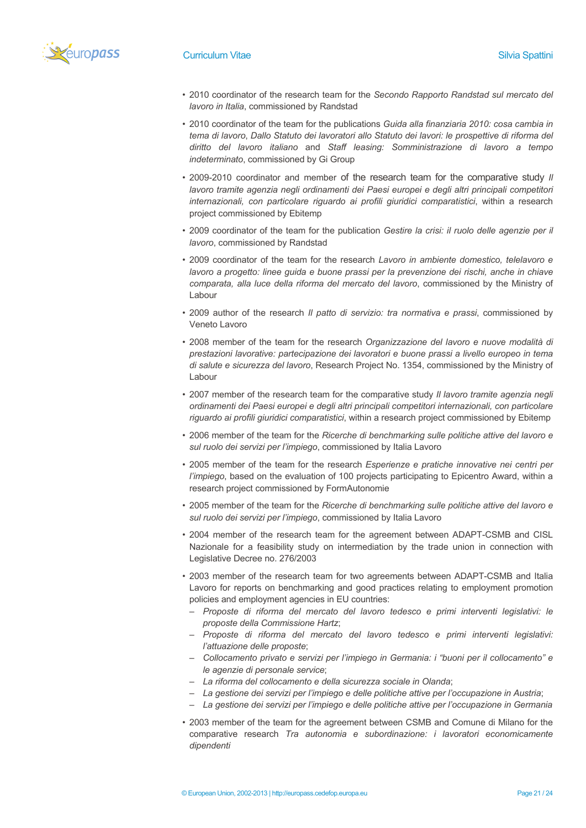

- 2010 coordinator of the research team for the *Secondo Rapporto Randstad sul mercato del lavoro in Italia*, commissioned by Randstad
- 2010 coordinator of the team for the publications *Guida alla finanziaria 2010: cosa cambia in tema di lavoro*, *Dallo Statuto dei lavoratori allo Statuto dei lavori: le prospettive di riforma del diritto del lavoro italiano* and *Staff leasing: Somministrazione di lavoro a tempo indeterminato*, commissioned by Gi Group
- 2009-2010 coordinator and member of the research team for the comparative study *Il lavoro tramite agenzia negli ordinamenti dei Paesi europei e degli altri principali competitori internazionali, con particolare riguardo ai profili giuridici comparatistici*, within a research project commissioned by Ebitemp
- 2009 coordinator of the team for the publication *Gestire la crisi: il ruolo delle agenzie per il lavoro*, commissioned by Randstad
- 2009 coordinator of the team for the research *Lavoro in ambiente domestico, telelavoro e lavoro a progetto: linee guida e buone prassi per la prevenzione dei rischi, anche in chiave comparata, alla luce della riforma del mercato del lavoro*, commissioned by the Ministry of Labour
- 2009 author of the research *Il patto di servizio: tra normativa e prassi*, commissioned by Veneto Lavoro
- 2008 member of the team for the research *Organizzazione del lavoro e nuove modalità di prestazioni lavorative: partecipazione dei lavoratori e buone prassi a livello europeo in tema di salute e sicurezza del lavoro*, Research Project No. 1354, commissioned by the Ministry of Labour
- 2007 member of the research team for the comparative study *Il lavoro tramite agenzia negli ordinamenti dei Paesi europei e degli altri principali competitori internazionali, con particolare riguardo ai profili giuridici comparatistici*, within a research project commissioned by Ebitemp
- 2006 member of the team for the *Ricerche di benchmarking sulle politiche attive del lavoro e sul ruolo dei servizi per l'impiego*, commissioned by Italia Lavoro
- 2005 member of the team for the research *Esperienze e pratiche innovative nei centri per l'impiego*, based on the evaluation of 100 projects participating to Epicentro Award, within a research project commissioned by FormAutonomie
- 2005 member of the team for the *Ricerche di benchmarking sulle politiche attive del lavoro e sul ruolo dei servizi per l'impiego*, commissioned by Italia Lavoro
- 2004 member of the research team for the agreement between ADAPT-CSMB and CISL Nazionale for a feasibility study on intermediation by the trade union in connection with Legislative Decree no. 276/2003
- 2003 member of the research team for two agreements between ADAPT-CSMB and Italia Lavoro for reports on benchmarking and good practices relating to employment promotion policies and employment agencies in EU countries:
	- *Proposte di riforma del mercato del lavoro tedesco e primi interventi legislativi: le proposte della Commissione Hartz*;
- *Proposte di riforma del mercato del lavoro tedesco e primi interventi legislativi: l'attuazione delle proposte*;
- *Collocamento privato e servizi per l'impiego in Germania: i "buoni per il collocamento" e le agenzie di personale service*;
- *La riforma del collocamento e della sicurezza sociale in Olanda*;
- *La gestione dei servizi per l'impiego e delle politiche attive per l'occupazione in Austria*;
- *La gestione dei servizi per l'impiego e delle politiche attive per l'occupazione in Germania*
- 2003 member of the team for the agreement between CSMB and Comune di Milano for the comparative research *Tra autonomia e subordinazione: i lavoratori economicamente dipendenti*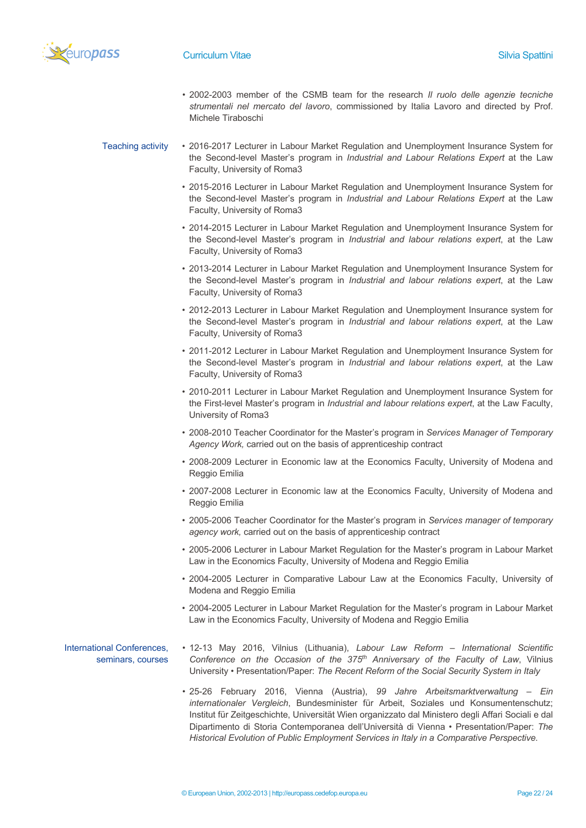

- 2002-2003 member of the CSMB team for the research *Il ruolo delle agenzie tecniche strumentali nel mercato del lavoro*, commissioned by Italia Lavoro and directed by Prof. Michele Tiraboschi
- Teaching activity 2016-2017 Lecturer in Labour Market Regulation and Unemployment Insurance System for the Second-level Master's program in *Industrial and Labour Relations Expert* at the Law Faculty, University of Roma3
	- 2015-2016 Lecturer in Labour Market Regulation and Unemployment Insurance System for the Second-level Master's program in *Industrial and Labour Relations Expert* at the Law Faculty, University of Roma3
	- 2014-2015 Lecturer in Labour Market Regulation and Unemployment Insurance System for the Second-level Master's program in *Industrial and labour relations expert*, at the Law Faculty, University of Roma3
	- 2013-2014 Lecturer in Labour Market Regulation and Unemployment Insurance System for the Second-level Master's program in *Industrial and labour relations expert*, at the Law Faculty, University of Roma3
	- 2012-2013 Lecturer in Labour Market Regulation and Unemployment Insurance system for the Second-level Master's program in *Industrial and labour relations expert*, at the Law Faculty, University of Roma3
	- 2011-2012 Lecturer in Labour Market Regulation and Unemployment Insurance System for the Second-level Master's program in *Industrial and labour relations expert*, at the Law Faculty, University of Roma3
	- 2010-2011 Lecturer in Labour Market Regulation and Unemployment Insurance System for the First-level Master's program in *Industrial and labour relations expert*, at the Law Faculty, University of Roma3
	- 2008-2010 Teacher Coordinator for the Master's program in *Services Manager of Temporary Agency Work,* carried out on the basis of apprenticeship contract
	- 2008-2009 Lecturer in Economic law at the Economics Faculty, University of Modena and Reggio Emilia
	- 2007-2008 Lecturer in Economic law at the Economics Faculty, University of Modena and Reggio Emilia
	- 2005-2006 Teacher Coordinator for the Master's program in *Services manager of temporary agency work,* carried out on the basis of apprenticeship contract
	- 2005-2006 Lecturer in Labour Market Regulation for the Master's program in Labour Market Law in the Economics Faculty, University of Modena and Reggio Emilia
	- 2004-2005 Lecturer in Comparative Labour Law at the Economics Faculty, University of Modena and Reggio Emilia
	- 2004-2005 Lecturer in Labour Market Regulation for the Master's program in Labour Market Law in the Economics Faculty, University of Modena and Reggio Emilia
- International Conferences, seminars, courses • 12-13 May 2016, Vilnius (Lithuania), *Labour Law Reform – International Scientific Conference on the Occasion of the 375th Anniversary of the Faculty of Law*, Vilnius University • Presentation/Paper: *The Recent Reform of the Social Security System in Italy*
	- 25-26 February 2016, Vienna (Austria), *99 Jahre Arbeitsmarktverwaltung – Ein internationaler Vergleich*, Bundesminister für Arbeit, Soziales und Konsumentenschutz; Institut für Zeitgeschichte, Universität Wien organizzato dal Ministero degli Affari Sociali e dal Dipartimento di Storia Contemporanea dell'Università di Vienna • Presentation/Paper: *The Historical Evolution of Public Employment Services in Italy in a Comparative Perspective*.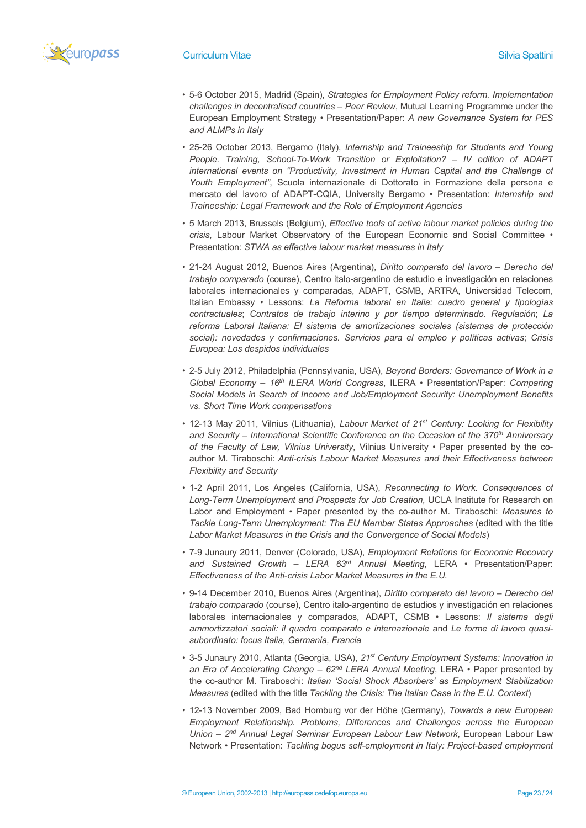

- 5-6 October 2015, Madrid (Spain), *Strategies for Employment Policy reform. Implementation challenges in decentralised countries – Peer Review*, Mutual Learning Programme under the European Employment Strategy • Presentation/Paper: *A new Governance System for PES and ALMPs in Italy*
- 25-26 October 2013, Bergamo (Italy), *Internship and Traineeship for Students and Young People. Training, School-To-Work Transition or Exploitation? – IV edition of ADAPT international events on "Productivity, Investment in Human Capital and the Challenge of Youth Employment"*, Scuola internazionale di Dottorato in Formazione della persona e mercato del lavoro of ADAPT-CQIA, University Bergamo • Presentation: *Internship and Traineeship: Legal Framework and the Role of Employment Agencies*
- 5 March 2013, Brussels (Belgium), *Effective tools of active labour market policies during the crisis*, Labour Market Observatory of the European Economic and Social Committee • Presentation: *STWA as effective labour market measures in Italy*
- 21-24 August 2012, Buenos Aires (Argentina), *Diritto comparato del lavoro – Derecho del trabajo comparado* (course), Centro italo-argentino de estudio e investigación en relaciones laborales internacionales y comparadas, ADAPT, CSMB, ARTRA, Universidad Telecom, Italian Embassy • Lessons: *La Reforma laboral en Italia: cuadro general y tipologías contractuales*; *Contratos de trabajo interino y por tiempo determinado. Regulación*; *La reforma Laboral Italiana: El sistema de amortizaciones sociales (sistemas de protección social): novedades y confirmaciones. Servicios para el empleo y políticas activas*; *Crisis Europea: Los despidos individuales*
- 2-5 July 2012, Philadelphia (Pennsylvania, USA), *Beyond Borders: Governance of Work in a Global Economy – 16th ILERA World Congress*, ILERA • Presentation/Paper: *Comparing Social Models in Search of Income and Job/Employment Security: Unemployment Benefits vs. Short Time Work compensations*
- 12-13 May 2011, Vilnius (Lithuania), *Labour Market of 21st Century: Looking for Flexibility*  and Security – International Scientific Conference on the Occasion of the 370<sup>th</sup> Anniversary *of the Faculty of Law, Vilnius University*, Vilnius University • Paper presented by the coauthor M. Tiraboschi: *Anti-crisis Labour Market Measures and their Effectiveness between Flexibility and Security*
- 1-2 April 2011, Los Angeles (California, USA), *Reconnecting to Work. Consequences of Long-Term Unemployment and Prospects for Job Creation*, UCLA Institute for Research on Labor and Employment • Paper presented by the co-author M. Tiraboschi: *Measures to Tackle Long-Term Unemployment: The EU Member States Approaches* (edited with the title *Labor Market Measures in the Crisis and the Convergence of Social Models*)
- 7-9 Junaury 2011, Denver (Colorado, USA), *Employment Relations for Economic Recovery and Sustained Growth – LERA 63rd Annual Meeting*, LERA • Presentation/Paper: *Effectiveness of the Anti-crisis Labor Market Measures in the E.U.*
- 9-14 December 2010, Buenos Aires (Argentina), *Diritto comparato del lavoro – Derecho del trabajo comparado* (course), Centro italo-argentino de estudios y investigación en relaciones laborales internacionales y comparados, ADAPT, CSMB • Lessons: *Il sistema degli ammortizzatori sociali: il quadro comparato e internazionale* and *Le forme di lavoro quasisubordinato: focus Italia, Germania, Francia*
- 3-5 Junaury 2010, Atlanta (Georgia, USA), *21st Century Employment Systems: Innovation in an Era of Accelerating Change – 62nd LERA Annual Meeting*, LERA • Paper presented by the co-author M. Tiraboschi: *Italian 'Social Shock Absorbers' as Employment Stabilization Measures* (edited with the title *Tackling the Crisis: The Italian Case in the E.U. Context*)
- 12-13 November 2009, Bad Homburg vor der Höhe (Germany), *Towards a new European Employment Relationship. Problems, Differences and Challenges across the European Union – 2nd Annual Legal Seminar European Labour Law Network*, European Labour Law Network • Presentation: *Tackling bogus self-employment in Italy: Project-based employment*